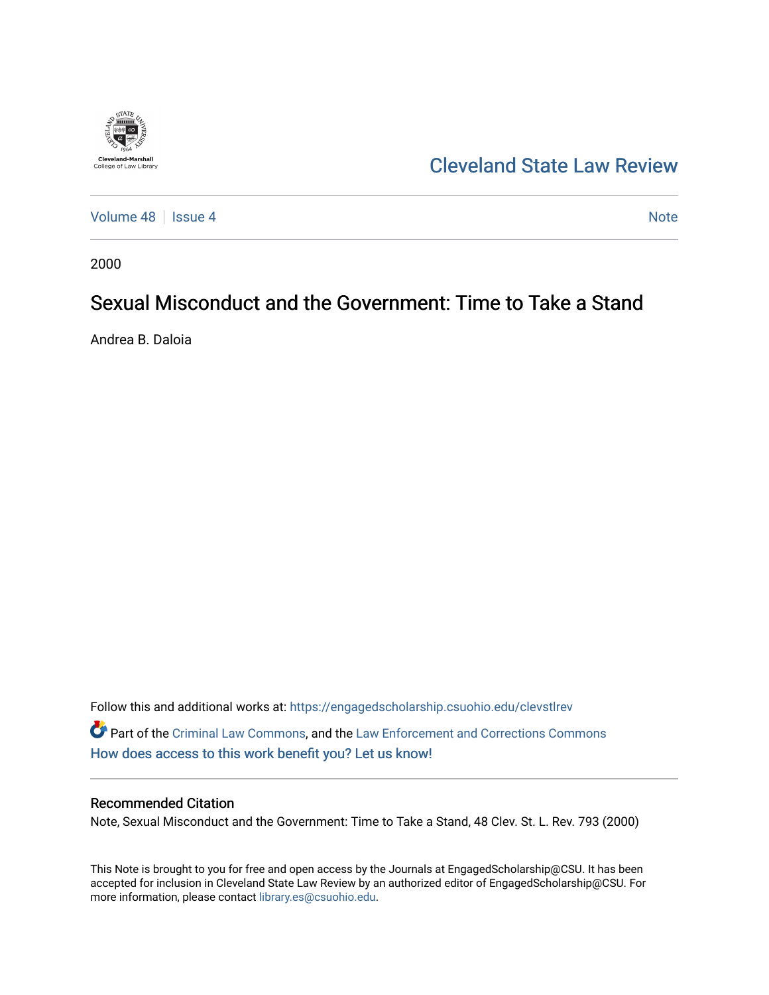

# [Cleveland State Law Review](https://engagedscholarship.csuohio.edu/clevstlrev)

[Volume 48](https://engagedscholarship.csuohio.edu/clevstlrev/vol48) | [Issue 4](https://engagedscholarship.csuohio.edu/clevstlrev/vol48/iss4) [Note](https://engagedscholarship.csuohio.edu/clevstlrev/vol48/iss4/10) Note 1 Note 1 Note 1 Note 1 Note 1 Note 1 Note 1 Note 1 Note 1 Note 1 Note 1 Note 1 Note 1 Note 1 Note 1 Note 1 Note 1 Note 1 Note 1 Note 1 Note 1 Note 1 Note 1 Note 1 Note 1 Note 1 Note 1 Note 1 N

2000

# Sexual Misconduct and the Government: Time to Take a Stand

Andrea B. Daloia

Follow this and additional works at: [https://engagedscholarship.csuohio.edu/clevstlrev](https://engagedscholarship.csuohio.edu/clevstlrev?utm_source=engagedscholarship.csuohio.edu%2Fclevstlrev%2Fvol48%2Fiss4%2F10&utm_medium=PDF&utm_campaign=PDFCoverPages) Part of the [Criminal Law Commons,](http://network.bepress.com/hgg/discipline/912?utm_source=engagedscholarship.csuohio.edu%2Fclevstlrev%2Fvol48%2Fiss4%2F10&utm_medium=PDF&utm_campaign=PDFCoverPages) and the Law Enforcement and Corrections Commons [How does access to this work benefit you? Let us know!](http://library.csuohio.edu/engaged/)

# Recommended Citation

Note, Sexual Misconduct and the Government: Time to Take a Stand, 48 Clev. St. L. Rev. 793 (2000)

This Note is brought to you for free and open access by the Journals at EngagedScholarship@CSU. It has been accepted for inclusion in Cleveland State Law Review by an authorized editor of EngagedScholarship@CSU. For more information, please contact [library.es@csuohio.edu](mailto:library.es@csuohio.edu).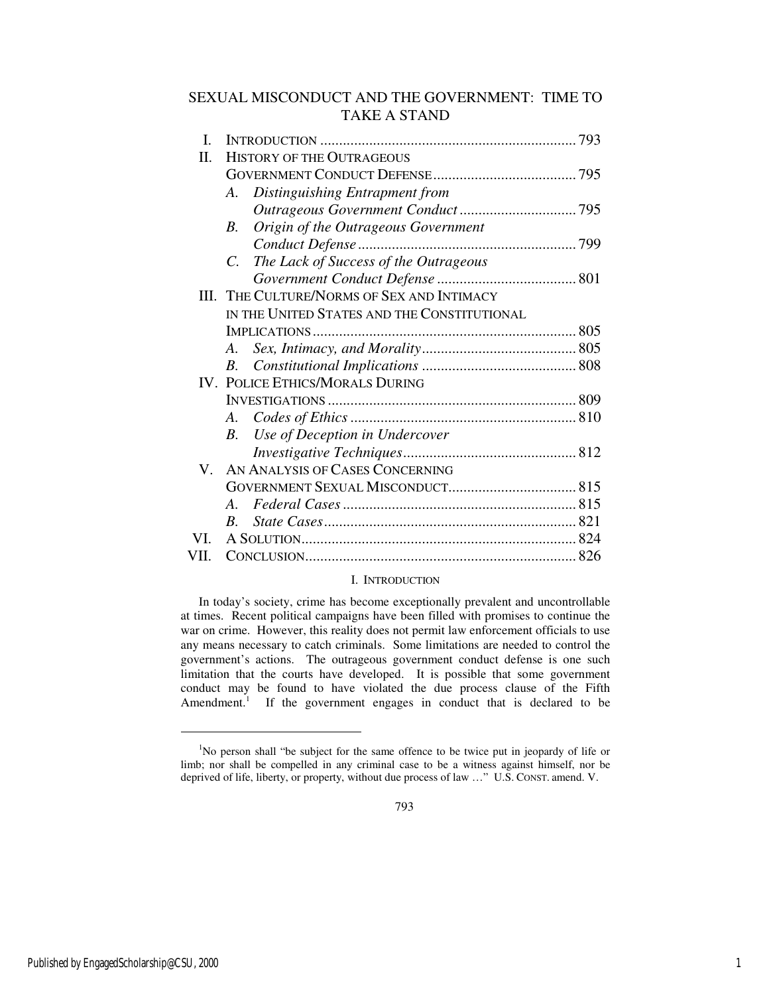# SEXUAL MISCONDUCT AND THE GOVERNMENT: TIME TO TAKE A STAND

| I.   |                                                      |  |
|------|------------------------------------------------------|--|
| Π.   | <b>HISTORY OF THE OUTRAGEOUS</b>                     |  |
|      |                                                      |  |
|      | Distinguishing Entrapment from<br>A.                 |  |
|      |                                                      |  |
|      | Origin of the Outrageous Government<br>B.            |  |
|      | Conduct Defense                                      |  |
|      | The Lack of Success of the Outrageous<br>$C_{\cdot}$ |  |
|      |                                                      |  |
|      | III. THE CULTURE/NORMS OF SEX AND INTIMACY           |  |
|      | IN THE UNITED STATES AND THE CONSTITUTIONAL          |  |
|      |                                                      |  |
|      | A.                                                   |  |
|      | $B_{\cdot}$                                          |  |
|      | <b>IV. POLICE ETHICS/MORALS DURING</b>               |  |
|      |                                                      |  |
|      | A.                                                   |  |
|      | Use of Deception in Undercover<br>$B_{\cdot}$        |  |
|      |                                                      |  |
| V.   | AN ANALYSIS OF CASES CONCERNING                      |  |
|      |                                                      |  |
|      | $A_{-}$                                              |  |
|      | $\boldsymbol{R}$                                     |  |
| VI.  |                                                      |  |
| VII. |                                                      |  |

# I. INTRODUCTION

In today's society, crime has become exceptionally prevalent and uncontrollable at times. Recent political campaigns have been filled with promises to continue the war on crime. However, this reality does not permit law enforcement officials to use any means necessary to catch criminals. Some limitations are needed to control the government's actions. The outrageous government conduct defense is one such limitation that the courts have developed. It is possible that some government conduct may be found to have violated the due process clause of the Fifth Amendment.<sup>1</sup> If the government engages in conduct that is declared to be

 $\overline{a}$ 

<sup>&</sup>lt;sup>1</sup>No person shall "be subject for the same offence to be twice put in jeopardy of life or limb; nor shall be compelled in any criminal case to be a witness against himself, nor be deprived of life, liberty, or property, without due process of law …" U.S. CONST. amend. V.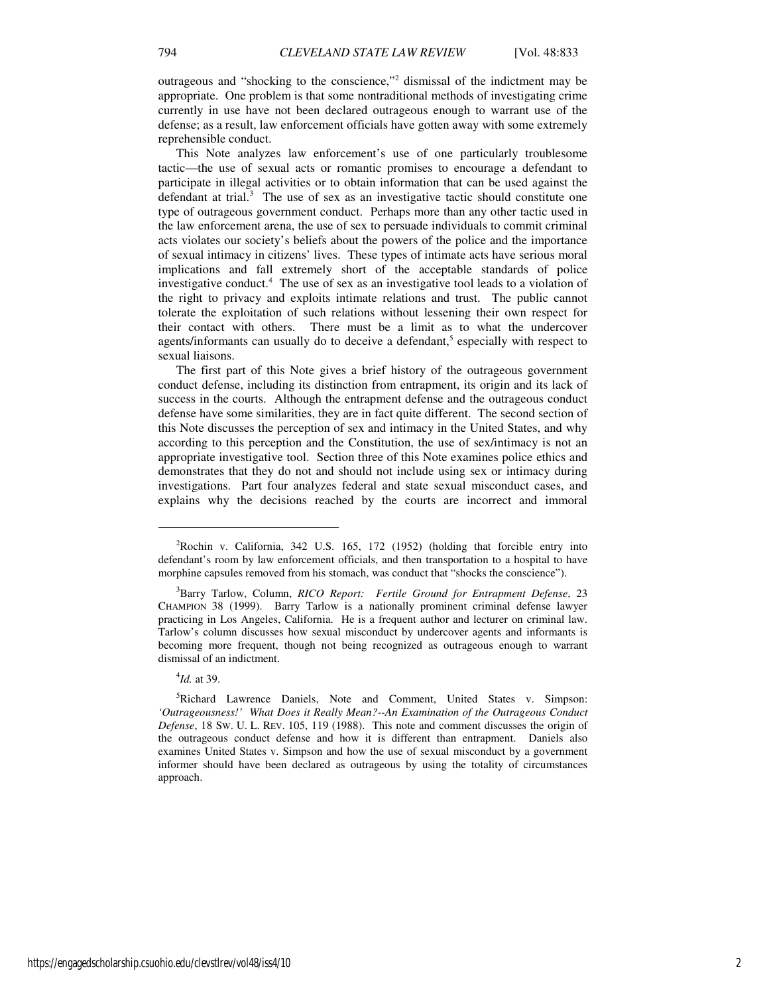outrageous and "shocking to the conscience,"<sup>2</sup> dismissal of the indictment may be appropriate. One problem is that some nontraditional methods of investigating crime currently in use have not been declared outrageous enough to warrant use of the defense; as a result, law enforcement officials have gotten away with some extremely reprehensible conduct.

This Note analyzes law enforcement's use of one particularly troublesome tactic—the use of sexual acts or romantic promises to encourage a defendant to participate in illegal activities or to obtain information that can be used against the defendant at trial. $3$  The use of sex as an investigative tactic should constitute one type of outrageous government conduct. Perhaps more than any other tactic used in the law enforcement arena, the use of sex to persuade individuals to commit criminal acts violates our society's beliefs about the powers of the police and the importance of sexual intimacy in citizens' lives. These types of intimate acts have serious moral implications and fall extremely short of the acceptable standards of police investigative conduct.<sup>4</sup> The use of sex as an investigative tool leads to a violation of the right to privacy and exploits intimate relations and trust. The public cannot tolerate the exploitation of such relations without lessening their own respect for their contact with others. There must be a limit as to what the undercover agents/informants can usually do to deceive a defendant,<sup>5</sup> especially with respect to sexual liaisons.

The first part of this Note gives a brief history of the outrageous government conduct defense, including its distinction from entrapment, its origin and its lack of success in the courts. Although the entrapment defense and the outrageous conduct defense have some similarities, they are in fact quite different. The second section of this Note discusses the perception of sex and intimacy in the United States, and why according to this perception and the Constitution, the use of sex/intimacy is not an appropriate investigative tool. Section three of this Note examines police ethics and demonstrates that they do not and should not include using sex or intimacy during investigations. Part four analyzes federal and state sexual misconduct cases, and explains why the decisions reached by the courts are incorrect and immoral

4 *Id.* at 39.

 $\overline{a}$ 

 ${}^{2}$ Rochin v. California, 342 U.S. 165, 172 (1952) (holding that forcible entry into defendant's room by law enforcement officials, and then transportation to a hospital to have morphine capsules removed from his stomach, was conduct that "shocks the conscience").

<sup>3</sup>Barry Tarlow, Column, *RICO Report: Fertile Ground for Entrapment Defense*, 23 CHAMPION 38 (1999). Barry Tarlow is a nationally prominent criminal defense lawyer practicing in Los Angeles, California. He is a frequent author and lecturer on criminal law. Tarlow's column discusses how sexual misconduct by undercover agents and informants is becoming more frequent, though not being recognized as outrageous enough to warrant dismissal of an indictment.

<sup>5</sup>Richard Lawrence Daniels, Note and Comment, United States v. Simpson: *'Outrageousness!' What Does it Really Mean?--An Examination of the Outrageous Conduct Defense*, 18 SW. U. L. REV. 105, 119 (1988). This note and comment discusses the origin of the outrageous conduct defense and how it is different than entrapment. Daniels also examines United States v. Simpson and how the use of sexual misconduct by a government informer should have been declared as outrageous by using the totality of circumstances approach.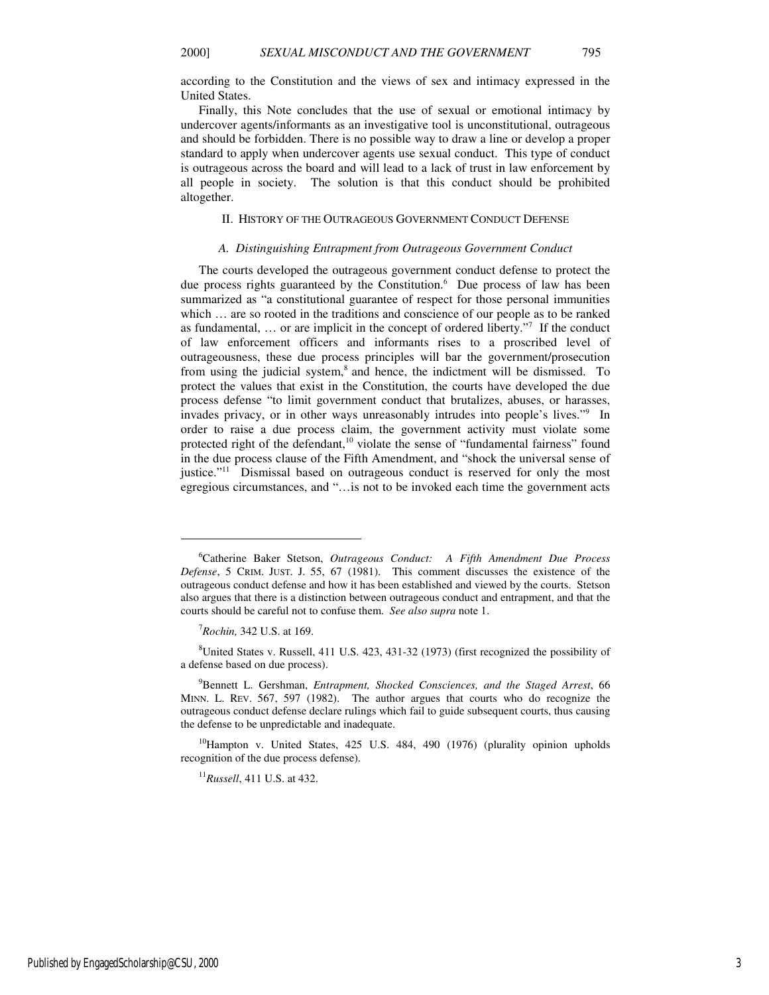according to the Constitution and the views of sex and intimacy expressed in the United States.

Finally, this Note concludes that the use of sexual or emotional intimacy by undercover agents/informants as an investigative tool is unconstitutional, outrageous and should be forbidden. There is no possible way to draw a line or develop a proper standard to apply when undercover agents use sexual conduct. This type of conduct is outrageous across the board and will lead to a lack of trust in law enforcement by all people in society. The solution is that this conduct should be prohibited altogether.

### II. HISTORY OF THE OUTRAGEOUS GOVERNMENT CONDUCT DEFENSE

#### *A. Distinguishing Entrapment from Outrageous Government Conduct*

The courts developed the outrageous government conduct defense to protect the due process rights guaranteed by the Constitution.<sup>6</sup> Due process of law has been summarized as "a constitutional guarantee of respect for those personal immunities which … are so rooted in the traditions and conscience of our people as to be ranked as fundamental, … or are implicit in the concept of ordered liberty."<sup>7</sup> If the conduct of law enforcement officers and informants rises to a proscribed level of outrageousness, these due process principles will bar the government/prosecution from using the judicial system,<sup>8</sup> and hence, the indictment will be dismissed. To protect the values that exist in the Constitution, the courts have developed the due process defense "to limit government conduct that brutalizes, abuses, or harasses, invades privacy, or in other ways unreasonably intrudes into people's lives."<sup>9</sup> In order to raise a due process claim, the government activity must violate some protected right of the defendant,<sup>10</sup> violate the sense of "fundamental fairness" found in the due process clause of the Fifth Amendment, and "shock the universal sense of justice."<sup>11</sup> Dismissal based on outrageous conduct is reserved for only the most egregious circumstances, and "…is not to be invoked each time the government acts

 $\overline{a}$ 

<sup>8</sup>United States v. Russell, 411 U.S. 423, 431-32 (1973) (first recognized the possibility of a defense based on due process).

<sup>9</sup>Bennett L. Gershman, *Entrapment, Shocked Consciences, and the Staged Arrest*, 66 MINN. L. REV. 567, 597 (1982). The author argues that courts who do recognize the outrageous conduct defense declare rulings which fail to guide subsequent courts, thus causing the defense to be unpredictable and inadequate.

<sup>10</sup>Hampton v. United States, 425 U.S. 484, 490 (1976) (plurality opinion upholds recognition of the due process defense).

<sup>11</sup>*Russell*, 411 U.S. at 432.

<sup>6</sup>Catherine Baker Stetson, *Outrageous Conduct: A Fifth Amendment Due Process Defense*, 5 CRIM. JUST. J. 55, 67 (1981). This comment discusses the existence of the outrageous conduct defense and how it has been established and viewed by the courts. Stetson also argues that there is a distinction between outrageous conduct and entrapment, and that the courts should be careful not to confuse them. *See also supra* note 1.

<sup>7</sup>*Rochin,* 342 U.S. at 169.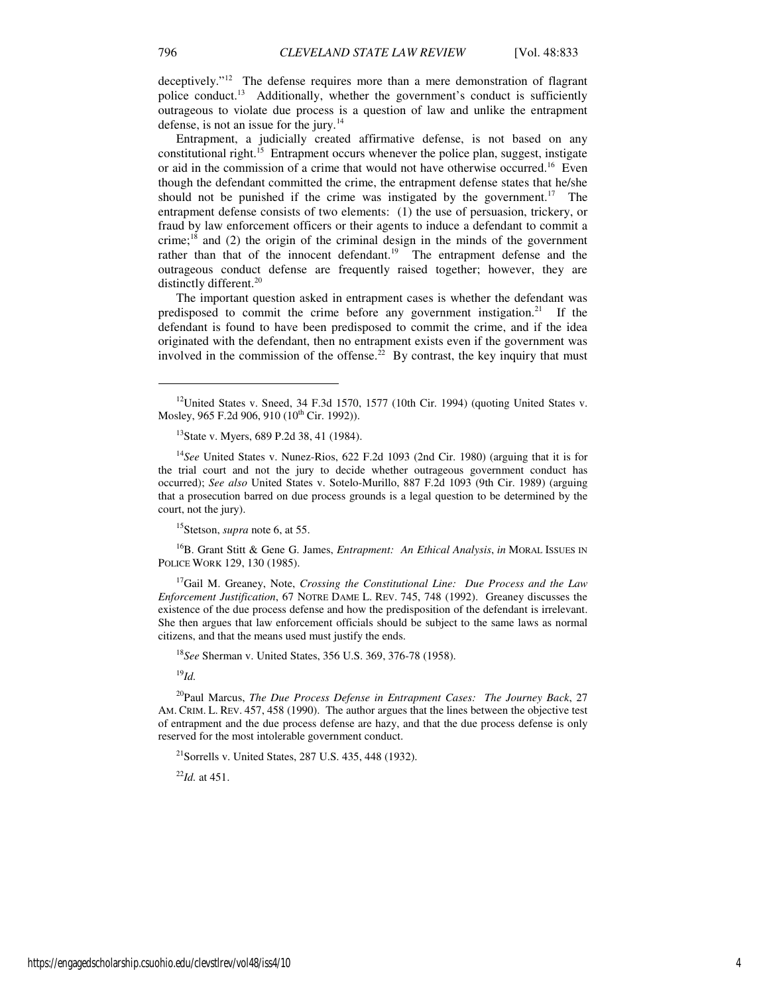deceptively."<sup>12</sup> The defense requires more than a mere demonstration of flagrant police conduct.<sup>13</sup> Additionally, whether the government's conduct is sufficiently outrageous to violate due process is a question of law and unlike the entrapment defense, is not an issue for the jury. $14$ 

Entrapment, a judicially created affirmative defense, is not based on any constitutional right.<sup>15</sup> Entrapment occurs whenever the police plan, suggest, instigate or aid in the commission of a crime that would not have otherwise occurred.<sup>16</sup> Even though the defendant committed the crime, the entrapment defense states that he/she should not be punished if the crime was instigated by the government.<sup>17</sup> The entrapment defense consists of two elements: (1) the use of persuasion, trickery, or fraud by law enforcement officers or their agents to induce a defendant to commit a crime;<sup>18</sup> and (2) the origin of the criminal design in the minds of the government rather than that of the innocent defendant.<sup>19</sup> The entrapment defense and the outrageous conduct defense are frequently raised together; however, they are distinctly different.<sup>20</sup>

The important question asked in entrapment cases is whether the defendant was predisposed to commit the crime before any government instigation.<sup>21</sup> If the defendant is found to have been predisposed to commit the crime, and if the idea originated with the defendant, then no entrapment exists even if the government was involved in the commission of the offense.<sup>22</sup> By contrast, the key inquiry that must

<sup>13</sup>State v. Myers, 689 P.2d 38, 41 (1984).

<sup>14</sup>See United States v. Nunez-Rios, 622 F.2d 1093 (2nd Cir. 1980) (arguing that it is for the trial court and not the jury to decide whether outrageous government conduct has occurred); *See also* United States v. Sotelo-Murillo, 887 F.2d 1093 (9th Cir. 1989) (arguing that a prosecution barred on due process grounds is a legal question to be determined by the court, not the jury).

<sup>15</sup>Stetson, *supra* note 6, at 55.

<sup>16</sup>B. Grant Stitt & Gene G. James, *Entrapment: An Ethical Analysis*, *in* MORAL ISSUES IN POLICE WORK 129, 130 (1985).

<sup>17</sup>Gail M. Greaney, Note, *Crossing the Constitutional Line:* Due Process and the Law *Enforcement Justification*, 67 NOTRE DAME L. REV. 745, 748 (1992). Greaney discusses the existence of the due process defense and how the predisposition of the defendant is irrelevant. She then argues that law enforcement officials should be subject to the same laws as normal citizens, and that the means used must justify the ends.

<sup>18</sup>*See* Sherman v. United States, 356 U.S. 369, 376-78 (1958).

<sup>19</sup>*Id.*

<sup>20</sup>Paul Marcus, *The Due Process Defense in Entrapment Cases: The Journey Back*, 27 AM. CRIM. L. REV. 457, 458 (1990). The author argues that the lines between the objective test of entrapment and the due process defense are hazy, and that the due process defense is only reserved for the most intolerable government conduct.

 $^{21}$ Sorrells v. United States, 287 U.S. 435, 448 (1932).

<sup>22</sup>*Id.* at 451.

j

 $12$ United States v. Sneed, 34 F.3d 1570, 1577 (10th Cir. 1994) (quoting United States v. Mosley, 965 F.2d 906, 910 (10<sup>th</sup> Cir. 1992)).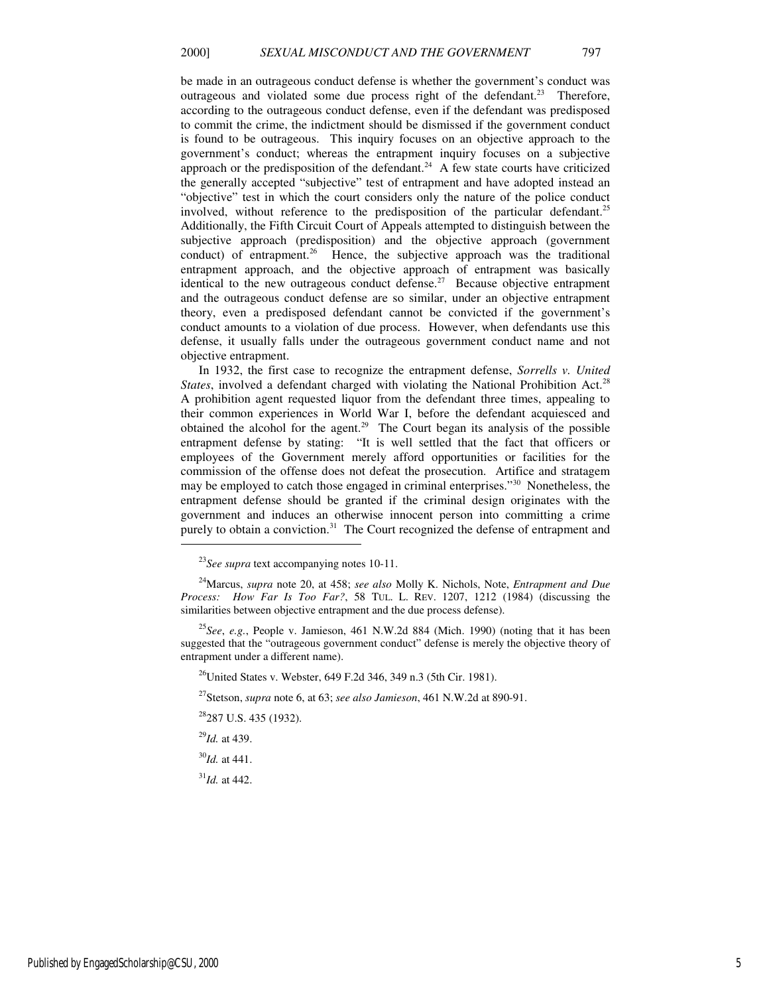be made in an outrageous conduct defense is whether the government's conduct was outrageous and violated some due process right of the defendant.<sup>23</sup> Therefore, according to the outrageous conduct defense, even if the defendant was predisposed to commit the crime, the indictment should be dismissed if the government conduct is found to be outrageous. This inquiry focuses on an objective approach to the government's conduct; whereas the entrapment inquiry focuses on a subjective approach or the predisposition of the defendant.<sup>24</sup> A few state courts have criticized the generally accepted "subjective" test of entrapment and have adopted instead an "objective" test in which the court considers only the nature of the police conduct involved, without reference to the predisposition of the particular defendant.<sup>25</sup> Additionally, the Fifth Circuit Court of Appeals attempted to distinguish between the subjective approach (predisposition) and the objective approach (government conduct) of entrapment.<sup>26</sup> Hence, the subjective approach was the traditional entrapment approach, and the objective approach of entrapment was basically identical to the new outrageous conduct defense.<sup>27</sup> Because objective entrapment and the outrageous conduct defense are so similar, under an objective entrapment theory, even a predisposed defendant cannot be convicted if the government's conduct amounts to a violation of due process. However, when defendants use this defense, it usually falls under the outrageous government conduct name and not objective entrapment.

In 1932, the first case to recognize the entrapment defense, *Sorrells v. United*  States, involved a defendant charged with violating the National Prohibition Act.<sup>28</sup> A prohibition agent requested liquor from the defendant three times, appealing to their common experiences in World War I, before the defendant acquiesced and obtained the alcohol for the agent.<sup>29</sup> The Court began its analysis of the possible entrapment defense by stating: "It is well settled that the fact that officers or employees of the Government merely afford opportunities or facilities for the commission of the offense does not defeat the prosecution. Artifice and stratagem may be employed to catch those engaged in criminal enterprises."<sup>30</sup> Nonetheless, the entrapment defense should be granted if the criminal design originates with the government and induces an otherwise innocent person into committing a crime purely to obtain a conviction.<sup>31</sup> The Court recognized the defense of entrapment and

1

<sup>23</sup>*See supra* text accompanying notes 10-11.

<sup>24</sup>Marcus, *supra* note 20, at 458; *see also* Molly K. Nichols, Note, *Entrapment and Due Process: How Far Is Too Far?*, 58 TUL. L. REV. 1207, 1212 (1984) (discussing the similarities between objective entrapment and the due process defense).

<sup>25</sup>*See*, *e.g.*, People v. Jamieson, 461 N.W.2d 884 (Mich. 1990) (noting that it has been suggested that the "outrageous government conduct" defense is merely the objective theory of entrapment under a different name).

<sup>26</sup>United States v. Webster, 649 F.2d 346, 349 n.3 (5th Cir. 1981).

<sup>27</sup>Stetson, *supra* note 6, at 63; *see also Jamieson*, 461 N.W.2d at 890-91.

<sup>28</sup>287 U.S. 435 (1932).

<sup>29</sup>*Id.* at 439.

<sup>30</sup>*Id.* at 441.

<sup>31</sup>*Id.* at 442.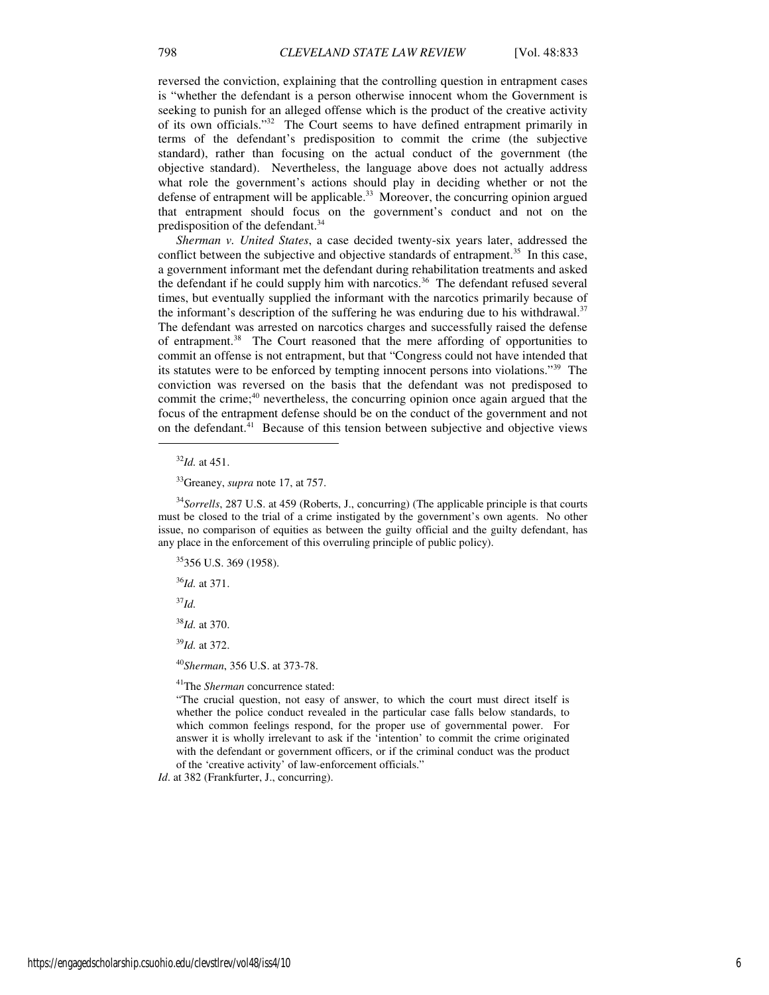reversed the conviction, explaining that the controlling question in entrapment cases is "whether the defendant is a person otherwise innocent whom the Government is seeking to punish for an alleged offense which is the product of the creative activity of its own officials."<sup>32</sup> The Court seems to have defined entrapment primarily in terms of the defendant's predisposition to commit the crime (the subjective standard), rather than focusing on the actual conduct of the government (the objective standard). Nevertheless, the language above does not actually address what role the government's actions should play in deciding whether or not the defense of entrapment will be applicable.<sup>33</sup> Moreover, the concurring opinion argued that entrapment should focus on the government's conduct and not on the predisposition of the defendant.<sup>34</sup>

*Sherman v. United States*, a case decided twenty-six years later, addressed the conflict between the subjective and objective standards of entrapment.<sup>35</sup> In this case, a government informant met the defendant during rehabilitation treatments and asked the defendant if he could supply him with narcotics.<sup>36</sup> The defendant refused several times, but eventually supplied the informant with the narcotics primarily because of the informant's description of the suffering he was enduring due to his withdrawal. $37$ The defendant was arrested on narcotics charges and successfully raised the defense of entrapment.<sup>38</sup> The Court reasoned that the mere affording of opportunities to commit an offense is not entrapment, but that "Congress could not have intended that its statutes were to be enforced by tempting innocent persons into violations."<sup>39</sup> The conviction was reversed on the basis that the defendant was not predisposed to commit the crime;<sup>40</sup> nevertheless, the concurring opinion once again argued that the focus of the entrapment defense should be on the conduct of the government and not on the defendant. $41$  Because of this tension between subjective and objective views

<sup>32</sup>*Id.* at 451.

1

<sup>33</sup>Greaney, *supra* note 17, at 757.

<sup>34</sup>Sorrells, 287 U.S. at 459 (Roberts, J., concurring) (The applicable principle is that courts must be closed to the trial of a crime instigated by the government's own agents. No other issue, no comparison of equities as between the guilty official and the guilty defendant, has any place in the enforcement of this overruling principle of public policy).

<sup>35</sup>356 U.S. 369 (1958).

<sup>36</sup>*Id.* at 371.

<sup>37</sup>*Id.*

<sup>38</sup>*Id.* at 370.

<sup>39</sup>*Id.* at 372.

<sup>40</sup>*Sherman*, 356 U.S. at 373-78.

<sup>41</sup>The *Sherman* concurrence stated:

"The crucial question, not easy of answer, to which the court must direct itself is whether the police conduct revealed in the particular case falls below standards, to which common feelings respond, for the proper use of governmental power. For answer it is wholly irrelevant to ask if the 'intention' to commit the crime originated with the defendant or government officers, or if the criminal conduct was the product of the 'creative activity' of law-enforcement officials."

*Id.* at 382 (Frankfurter, J., concurring).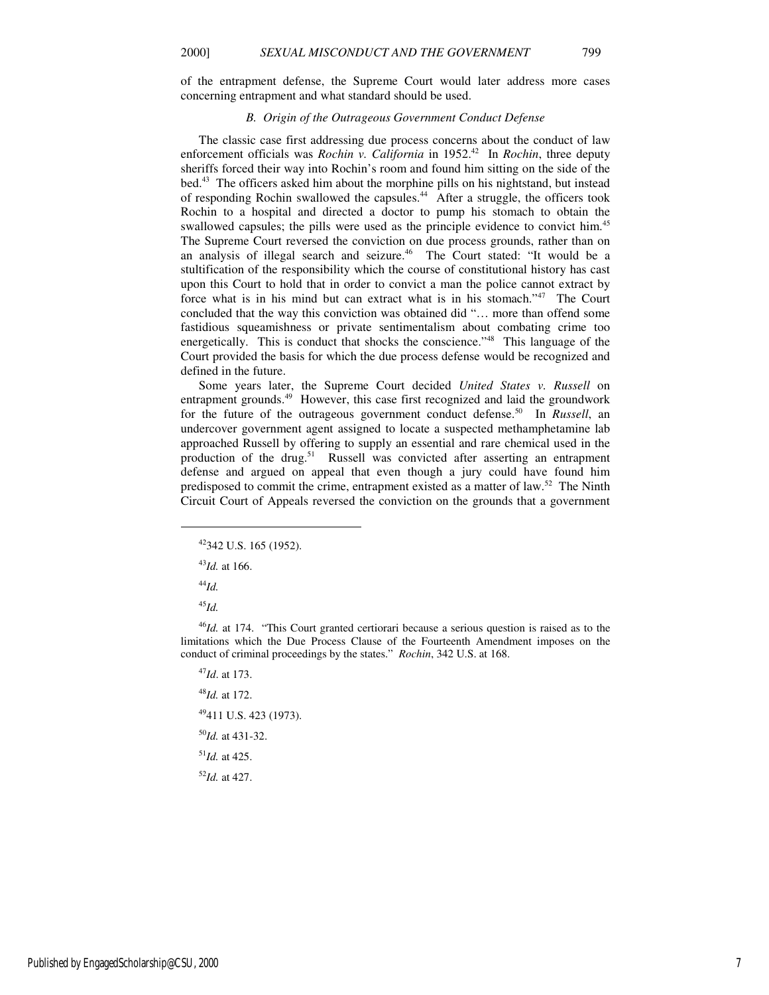of the entrapment defense, the Supreme Court would later address more cases concerning entrapment and what standard should be used.

# *B. Origin of the Outrageous Government Conduct Defense*

The classic case first addressing due process concerns about the conduct of law enforcement officials was *Rochin v. California* in 1952.<sup>42</sup> In *Rochin*, three deputy sheriffs forced their way into Rochin's room and found him sitting on the side of the bed.<sup>43</sup> The officers asked him about the morphine pills on his nightstand, but instead of responding Rochin swallowed the capsules.<sup>44</sup> After a struggle, the officers took Rochin to a hospital and directed a doctor to pump his stomach to obtain the swallowed capsules; the pills were used as the principle evidence to convict him.<sup>45</sup> The Supreme Court reversed the conviction on due process grounds, rather than on an analysis of illegal search and seizure.<sup>46</sup> The Court stated: "It would be a stultification of the responsibility which the course of constitutional history has cast upon this Court to hold that in order to convict a man the police cannot extract by force what is in his mind but can extract what is in his stomach."<sup>47</sup> The Court concluded that the way this conviction was obtained did "… more than offend some fastidious squeamishness or private sentimentalism about combating crime too energetically. This is conduct that shocks the conscience."<sup>48</sup> This language of the Court provided the basis for which the due process defense would be recognized and defined in the future.

Some years later, the Supreme Court decided *United States v. Russell* on entrapment grounds.<sup>49</sup> However, this case first recognized and laid the groundwork for the future of the outrageous government conduct defense.<sup>50</sup> In *Russell*, an undercover government agent assigned to locate a suspected methamphetamine lab approached Russell by offering to supply an essential and rare chemical used in the production of the drug.<sup>51</sup> Russell was convicted after asserting an entrapment defense and argued on appeal that even though a jury could have found him predisposed to commit the crime, entrapment existed as a matter of law.<sup>52</sup> The Ninth Circuit Court of Appeals reversed the conviction on the grounds that a government

<sup>43</sup>*Id.* at 166.

<sup>44</sup>*Id.*

1

<sup>45</sup>*Id.*

<sup>46</sup>*Id.* at 174. "This Court granted certiorari because a serious question is raised as to the limitations which the Due Process Clause of the Fourteenth Amendment imposes on the conduct of criminal proceedings by the states." *Rochin*, 342 U.S. at 168.

<sup>47</sup>*Id*. at 173.

<sup>48</sup>*Id.* at 172.

<sup>49</sup>411 U.S. 423 (1973).

<sup>50</sup>*Id.* at 431-32.

<sup>51</sup>*Id.* at 425.

<sup>52</sup>*Id.* at 427.

<sup>42</sup>342 U.S. 165 (1952).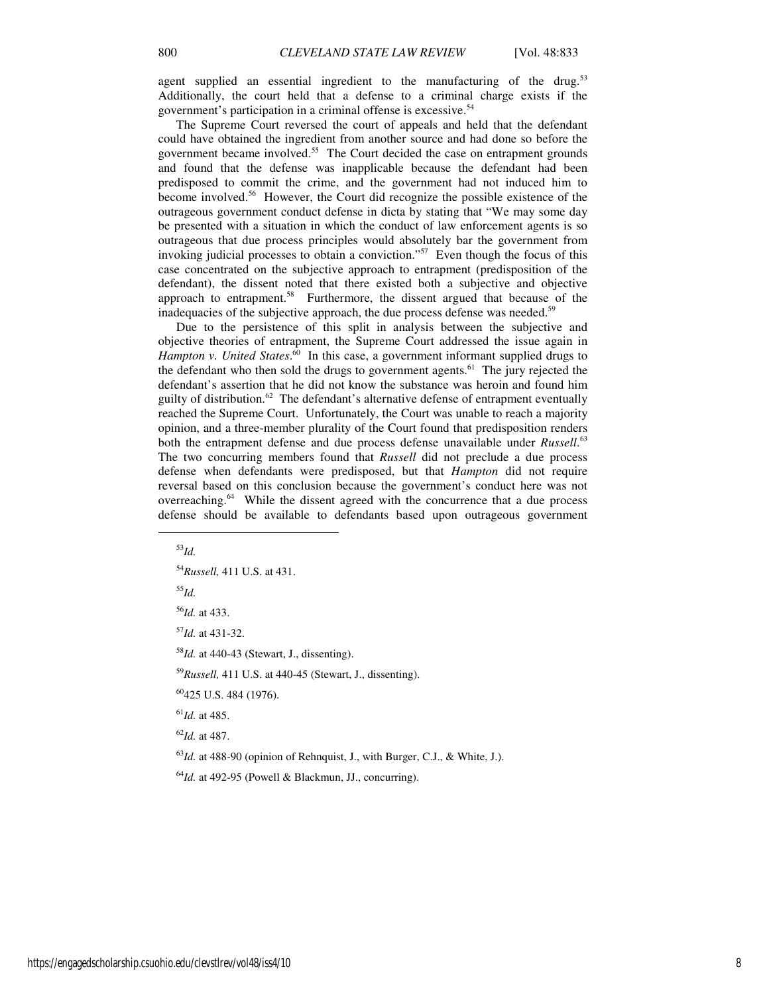agent supplied an essential ingredient to the manufacturing of the drug.<sup>53</sup> Additionally, the court held that a defense to a criminal charge exists if the government's participation in a criminal offense is excessive.<sup>54</sup>

The Supreme Court reversed the court of appeals and held that the defendant could have obtained the ingredient from another source and had done so before the government became involved.<sup>55</sup> The Court decided the case on entrapment grounds and found that the defense was inapplicable because the defendant had been predisposed to commit the crime, and the government had not induced him to become involved.<sup>56</sup> However, the Court did recognize the possible existence of the outrageous government conduct defense in dicta by stating that "We may some day be presented with a situation in which the conduct of law enforcement agents is so outrageous that due process principles would absolutely bar the government from invoking judicial processes to obtain a conviction."<sup>57</sup> Even though the focus of this case concentrated on the subjective approach to entrapment (predisposition of the defendant), the dissent noted that there existed both a subjective and objective approach to entrapment.<sup>58</sup> Furthermore, the dissent argued that because of the inadequacies of the subjective approach, the due process defense was needed.<sup>59</sup>

Due to the persistence of this split in analysis between the subjective and objective theories of entrapment, the Supreme Court addressed the issue again in Hampton v. United States.<sup>60</sup> In this case, a government informant supplied drugs to the defendant who then sold the drugs to government agents. $61$  The jury rejected the defendant's assertion that he did not know the substance was heroin and found him guilty of distribution. $62$  The defendant's alternative defense of entrapment eventually reached the Supreme Court. Unfortunately, the Court was unable to reach a majority opinion, and a three-member plurality of the Court found that predisposition renders both the entrapment defense and due process defense unavailable under *Russell*. 63 The two concurring members found that *Russell* did not preclude a due process defense when defendants were predisposed, but that *Hampton* did not require reversal based on this conclusion because the government's conduct here was not overreaching.<sup>64</sup> While the dissent agreed with the concurrence that a due process defense should be available to defendants based upon outrageous government

<sup>53</sup>*Id.*

1

<sup>54</sup>*Russell,* 411 U.S. at 431.

<sup>55</sup>*Id.*

<sup>56</sup>*Id.* at 433.

<sup>57</sup>*Id.* at 431-32.

<sup>58</sup>*Id.* at 440-43 (Stewart, J., dissenting).

<sup>59</sup>*Russell,* 411 U.S. at 440-45 (Stewart, J., dissenting).

<sup>60</sup>425 U.S. 484 (1976).

<sup>61</sup>*Id.* at 485.

<sup>62</sup>*Id.* at 487.

 $^{63}$ *Id.* at 488-90 (opinion of Rehnquist, J., with Burger, C.J., & White, J.).

<sup>64</sup>*Id.* at 492-95 (Powell & Blackmun, JJ., concurring).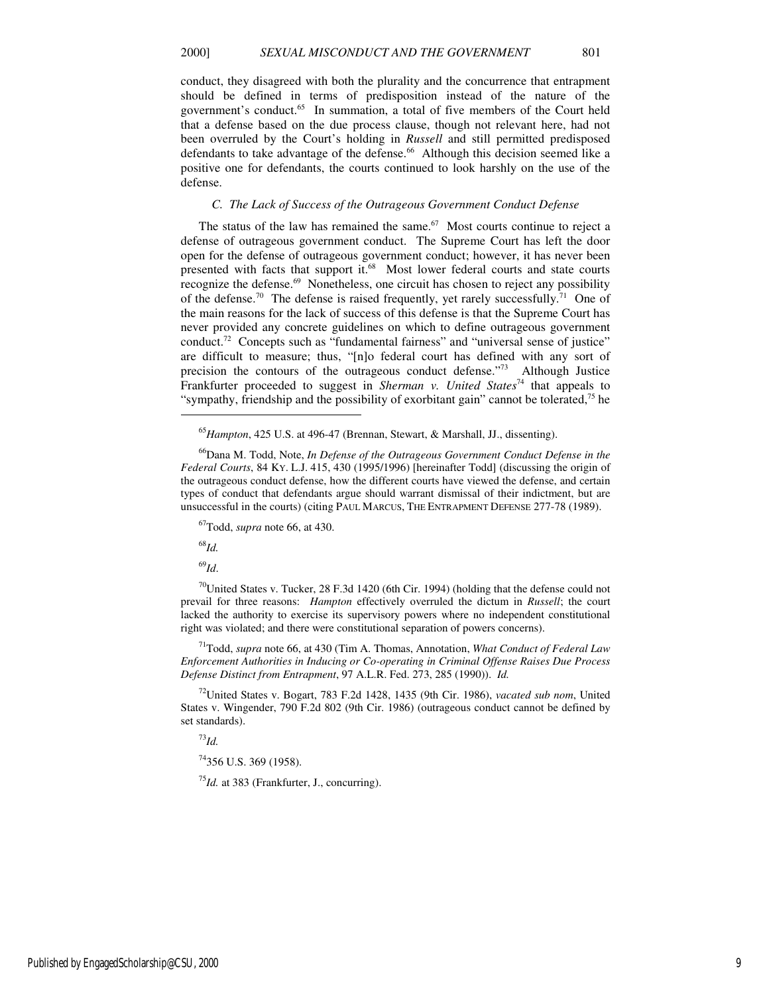conduct, they disagreed with both the plurality and the concurrence that entrapment should be defined in terms of predisposition instead of the nature of the government's conduct.<sup>65</sup> In summation, a total of five members of the Court held that a defense based on the due process clause, though not relevant here, had not been overruled by the Court's holding in *Russell* and still permitted predisposed defendants to take advantage of the defense.<sup>66</sup> Although this decision seemed like a positive one for defendants, the courts continued to look harshly on the use of the defense.

# *C. The Lack of Success of the Outrageous Government Conduct Defense*

The status of the law has remained the same. $67$  Most courts continue to reject a defense of outrageous government conduct. The Supreme Court has left the door open for the defense of outrageous government conduct; however, it has never been presented with facts that support it.<sup>68</sup> Most lower federal courts and state courts recognize the defense.<sup>69</sup> Nonetheless, one circuit has chosen to reject any possibility of the defense.<sup>70</sup> The defense is raised frequently, yet rarely successfully.<sup>71</sup> One of the main reasons for the lack of success of this defense is that the Supreme Court has never provided any concrete guidelines on which to define outrageous government conduct.<sup>72</sup> Concepts such as "fundamental fairness" and "universal sense of justice" are difficult to measure; thus, "[n]o federal court has defined with any sort of precision the contours of the outrageous conduct defense."<sup>73</sup> Although Justice Frankfurter proceeded to suggest in *Sherman v. United States*<sup>74</sup> that appeals to "sympathy, friendship and the possibility of exorbitant gain" cannot be tolerated,<sup>75</sup> he

<sup>68</sup>*Id.* 

1

<sup>69</sup>*Id*.

<sup>70</sup>United States v. Tucker, 28 F.3d 1420 (6th Cir. 1994) (holding that the defense could not prevail for three reasons: *Hampton* effectively overruled the dictum in *Russell*; the court lacked the authority to exercise its supervisory powers where no independent constitutional right was violated; and there were constitutional separation of powers concerns).

<sup>71</sup>Todd, *supra* note 66, at 430 (Tim A. Thomas, Annotation, *What Conduct of Federal Law Enforcement Authorities in Inducing or Co-operating in Criminal Offense Raises Due Process Defense Distinct from Entrapment*, 97 A.L.R. Fed. 273, 285 (1990)). *Id.* 

<sup>72</sup>United States v. Bogart, 783 F.2d 1428, 1435 (9th Cir. 1986), *vacated sub nom*, United States v. Wingender, 790 F.2d 802 (9th Cir. 1986) (outrageous conduct cannot be defined by set standards).

<sup>73</sup>*Id.* 

<sup>74</sup>356 U.S. 369 (1958).

<sup>75</sup>*Id.* at 383 (Frankfurter, J., concurring).

<sup>65</sup>*Hampton*, 425 U.S. at 496-47 (Brennan, Stewart, & Marshall, JJ., dissenting).

<sup>66</sup>Dana M. Todd, Note, *In Defense of the Outrageous Government Conduct Defense in the Federal Courts*, 84 KY. L.J. 415, 430 (1995/1996) [hereinafter Todd] (discussing the origin of the outrageous conduct defense, how the different courts have viewed the defense, and certain types of conduct that defendants argue should warrant dismissal of their indictment, but are unsuccessful in the courts) (citing PAUL MARCUS, THE ENTRAPMENT DEFENSE 277-78 (1989).

<sup>67</sup>Todd, *supra* note 66, at 430.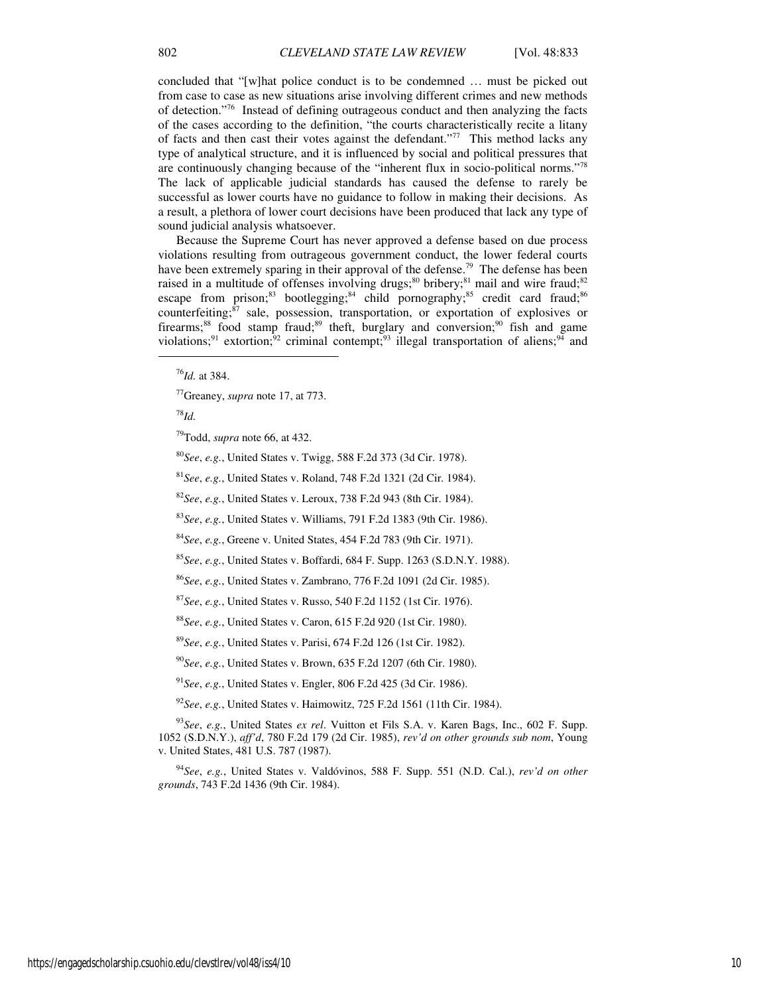concluded that "[w]hat police conduct is to be condemned … must be picked out from case to case as new situations arise involving different crimes and new methods of detection."<sup>76</sup> Instead of defining outrageous conduct and then analyzing the facts of the cases according to the definition, "the courts characteristically recite a litany of facts and then cast their votes against the defendant."<sup>77</sup> This method lacks any type of analytical structure, and it is influenced by social and political pressures that are continuously changing because of the "inherent flux in socio-political norms."<sup>78</sup> The lack of applicable judicial standards has caused the defense to rarely be successful as lower courts have no guidance to follow in making their decisions. As a result, a plethora of lower court decisions have been produced that lack any type of sound judicial analysis whatsoever.

Because the Supreme Court has never approved a defense based on due process violations resulting from outrageous government conduct, the lower federal courts have been extremely sparing in their approval of the defense.<sup>79</sup> The defense has been raised in a multitude of offenses involving drugs; $^{80}$  bribery; $^{81}$  mail and wire fraud; $^{82}$ escape from prison;<sup>83</sup> bootlegging;<sup>84</sup> child pornography;<sup>85</sup> credit card fraud;<sup>86</sup> counterfeiting;<sup>87</sup> sale, possession, transportation, or exportation of explosives or firearms;<sup>88</sup> food stamp fraud;<sup>89</sup> theft, burglary and conversion;<sup>90</sup> fish and game violations;<sup>91</sup> extortion;<sup>92</sup> criminal contempt;<sup>93</sup> illegal transportation of aliens;<sup>94</sup> and

<sup>76</sup>*Id.* at 384.

<sup>77</sup>Greaney, *supra* note 17, at 773.

<sup>78</sup>*Id.*

j

<sup>79</sup>Todd, *supra* note 66, at 432.

<sup>80</sup>*See*, *e.g.*, United States v. Twigg, 588 F.2d 373 (3d Cir. 1978).

<sup>81</sup>*See*, *e.g.*, United States v. Roland, 748 F.2d 1321 (2d Cir. 1984).

<sup>82</sup>*See*, *e.g.*, United States v. Leroux, 738 F.2d 943 (8th Cir. 1984).

<sup>83</sup>*See*, *e.g.*, United States v. Williams, 791 F.2d 1383 (9th Cir. 1986).

<sup>84</sup>*See*, *e.g.*, Greene v. United States, 454 F.2d 783 (9th Cir. 1971).

<sup>85</sup>*See*, *e.g.*, United States v. Boffardi, 684 F. Supp. 1263 (S.D.N.Y. 1988).

<sup>86</sup>*See*, *e.g.*, United States v. Zambrano, 776 F.2d 1091 (2d Cir. 1985).

<sup>87</sup>*See*, *e.g.*, United States v. Russo, 540 F.2d 1152 (1st Cir. 1976).

<sup>88</sup>*See*, *e.g.*, United States v. Caron, 615 F.2d 920 (1st Cir. 1980).

<sup>89</sup>*See*, *e.g.*, United States v. Parisi, 674 F.2d 126 (1st Cir. 1982).

<sup>90</sup>*See*, *e.g.*, United States v. Brown, 635 F.2d 1207 (6th Cir. 1980).

<sup>91</sup>*See*, *e.g.*, United States v. Engler, 806 F.2d 425 (3d Cir. 1986).

<sup>92</sup>*See*, *e.g.*, United States v. Haimowitz, 725 F.2d 1561 (11th Cir. 1984).

<sup>93</sup>*See*, *e.g.*, United States *ex rel*. Vuitton et Fils S.A. v. Karen Bags, Inc., 602 F. Supp. 1052 (S.D.N.Y.), *aff'd*, 780 F.2d 179 (2d Cir. 1985), *rev'd on other grounds sub nom*, Young v. United States, 481 U.S. 787 (1987).

<sup>94</sup>*See*, *e.g.*, United States v. Valdóvinos, 588 F. Supp. 551 (N.D. Cal.), *rev'd on other grounds*, 743 F.2d 1436 (9th Cir. 1984).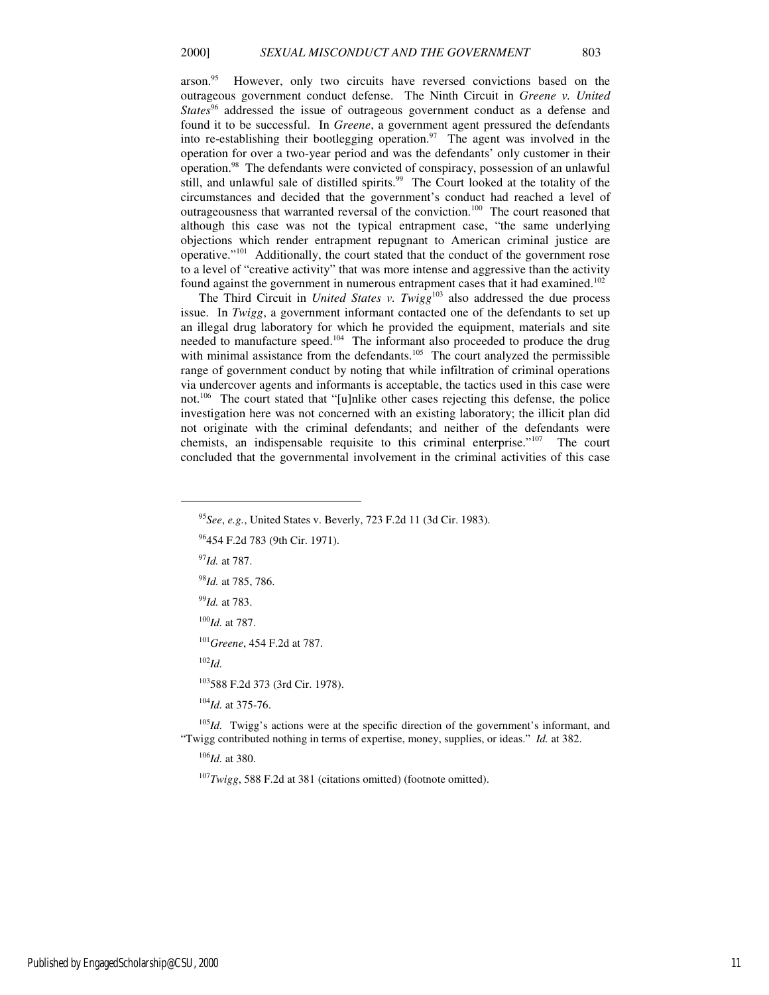arson.<sup>95</sup> However, only two circuits have reversed convictions based on the outrageous government conduct defense. The Ninth Circuit in *Greene v. United States*<sup>96</sup> addressed the issue of outrageous government conduct as a defense and found it to be successful. In *Greene*, a government agent pressured the defendants into re-establishing their bootlegging operation. $97$  The agent was involved in the operation for over a two-year period and was the defendants' only customer in their operation.<sup>98</sup> The defendants were convicted of conspiracy, possession of an unlawful still, and unlawful sale of distilled spirits.<sup>99</sup> The Court looked at the totality of the circumstances and decided that the government's conduct had reached a level of outrageousness that warranted reversal of the conviction.<sup>100</sup> The court reasoned that although this case was not the typical entrapment case, "the same underlying objections which render entrapment repugnant to American criminal justice are operative."<sup>101</sup> Additionally, the court stated that the conduct of the government rose to a level of "creative activity" that was more intense and aggressive than the activity found against the government in numerous entrapment cases that it had examined.<sup>102</sup>

The Third Circuit in *United States v. Twigg*<sup>103</sup> also addressed the due process issue. In *Twigg*, a government informant contacted one of the defendants to set up an illegal drug laboratory for which he provided the equipment, materials and site needed to manufacture speed.<sup>104</sup> The informant also proceeded to produce the drug with minimal assistance from the defendants.<sup>105</sup> The court analyzed the permissible range of government conduct by noting that while infiltration of criminal operations via undercover agents and informants is acceptable, the tactics used in this case were not.<sup>106</sup> The court stated that "[u]nlike other cases rejecting this defense, the police investigation here was not concerned with an existing laboratory; the illicit plan did not originate with the criminal defendants; and neither of the defendants were chemists, an indispensable requisite to this criminal enterprise."<sup>107</sup> The court concluded that the governmental involvement in the criminal activities of this case

<sup>97</sup>*Id.* at 787.

j

<sup>99</sup>*Id.* at 783.

<sup>100</sup>*Id.* at 787.

<sup>101</sup>*Greene*, 454 F.2d at 787.

<sup>102</sup>*Id.*

<sup>103</sup>588 F.2d 373 (3rd Cir. 1978).

<sup>104</sup>*Id.* at 375-76.

<sup>105</sup>*Id.* Twigg's actions were at the specific direction of the government's informant, and "Twigg contributed nothing in terms of expertise, money, supplies, or ideas." *Id.* at 382.

<sup>106</sup>*Id.* at 380.

<sup>107</sup>*Twigg*, 588 F.2d at 381 (citations omitted) (footnote omitted).

Published by EngagedScholarship@CSU, 2000 11 11

<sup>95</sup>*See*, *e.g.*, United States v. Beverly, 723 F.2d 11 (3d Cir. 1983).

<sup>96</sup>454 F.2d 783 (9th Cir. 1971).

<sup>98</sup>*Id.* at 785, 786.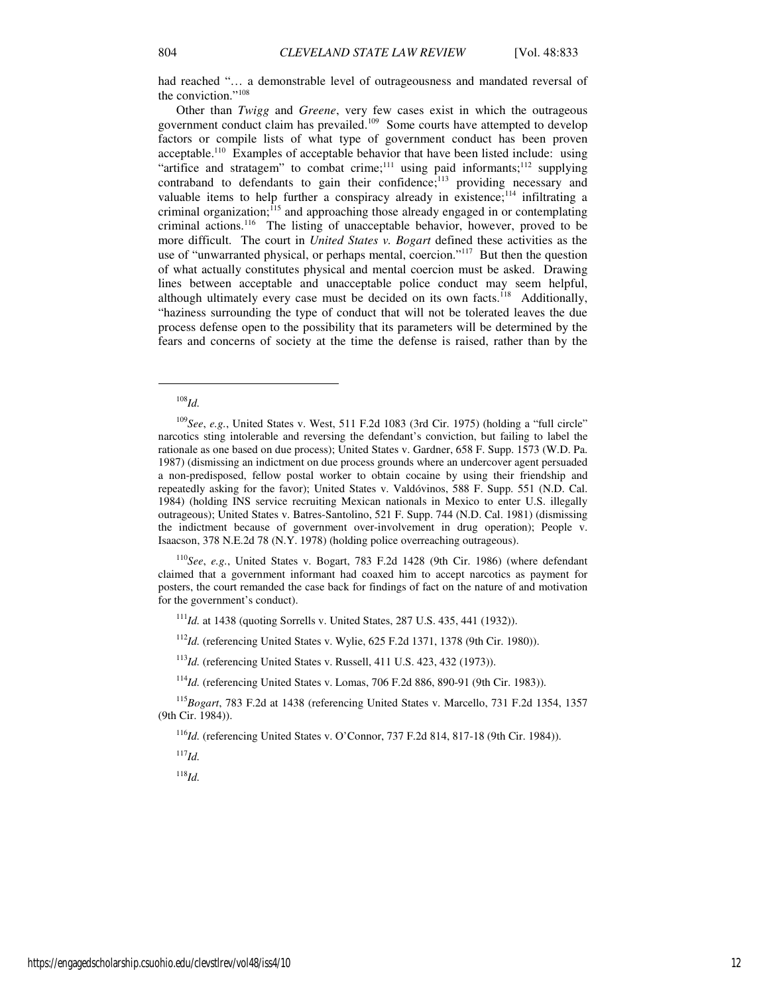had reached "… a demonstrable level of outrageousness and mandated reversal of the conviction."<sup>108</sup>

Other than *Twigg* and *Greene*, very few cases exist in which the outrageous government conduct claim has prevailed.<sup>109</sup> Some courts have attempted to develop factors or compile lists of what type of government conduct has been proven acceptable.<sup>110</sup> Examples of acceptable behavior that have been listed include: using "artifice and stratagem" to combat crime;<sup>111</sup> using paid informants;<sup>112</sup> supplying contraband to defendants to gain their confidence;<sup>113</sup> providing necessary and valuable items to help further a conspiracy already in existence;<sup>114</sup> infiltrating a criminal organization;<sup>115</sup> and approaching those already engaged in or contemplating criminal actions.<sup>116</sup> The listing of unacceptable behavior, however, proved to be more difficult. The court in *United States v. Bogart* defined these activities as the use of "unwarranted physical, or perhaps mental, coercion."<sup>117</sup> But then the question of what actually constitutes physical and mental coercion must be asked. Drawing lines between acceptable and unacceptable police conduct may seem helpful, although ultimately every case must be decided on its own facts.<sup>118</sup> Additionally, "haziness surrounding the type of conduct that will not be tolerated leaves the due process defense open to the possibility that its parameters will be determined by the fears and concerns of society at the time the defense is raised, rather than by the

<sup>108</sup>*Id.*

1

<sup>109</sup>*See*, *e.g.*, United States v. West, 511 F.2d 1083 (3rd Cir. 1975) (holding a "full circle" narcotics sting intolerable and reversing the defendant's conviction, but failing to label the rationale as one based on due process); United States v. Gardner, 658 F. Supp. 1573 (W.D. Pa. 1987) (dismissing an indictment on due process grounds where an undercover agent persuaded a non-predisposed, fellow postal worker to obtain cocaine by using their friendship and repeatedly asking for the favor); United States v. Valdóvinos, 588 F. Supp. 551 (N.D. Cal. 1984) (holding INS service recruiting Mexican nationals in Mexico to enter U.S. illegally outrageous); United States v. Batres-Santolino, 521 F. Supp. 744 (N.D. Cal. 1981) (dismissing the indictment because of government over-involvement in drug operation); People v. Isaacson, 378 N.E.2d 78 (N.Y. 1978) (holding police overreaching outrageous).

<sup>110</sup>*See*, *e.g.*, United States v. Bogart, 783 F.2d 1428 (9th Cir. 1986) (where defendant claimed that a government informant had coaxed him to accept narcotics as payment for posters, the court remanded the case back for findings of fact on the nature of and motivation for the government's conduct).

<sup>111</sup>*Id.* at 1438 (quoting Sorrells v. United States, 287 U.S. 435, 441 (1932)).

 $112$ *Id.* (referencing United States v. Wylie, 625 F.2d 1371, 1378 (9th Cir. 1980)).

<sup>113</sup>*Id.* (referencing United States v. Russell, 411 U.S. 423, 432 (1973)).

<sup>114</sup>*Id.* (referencing United States v. Lomas, 706 F.2d 886, 890-91 (9th Cir. 1983)).

<sup>115</sup>*Bogart*, 783 F.2d at 1438 (referencing United States v. Marcello, 731 F.2d 1354, 1357 (9th Cir. 1984)).

<sup>116</sup>*Id.* (referencing United States v. O'Connor, 737 F.2d 814, 817-18 (9th Cir. 1984)).

<sup>117</sup>*Id.*

<sup>118</sup>*Id.*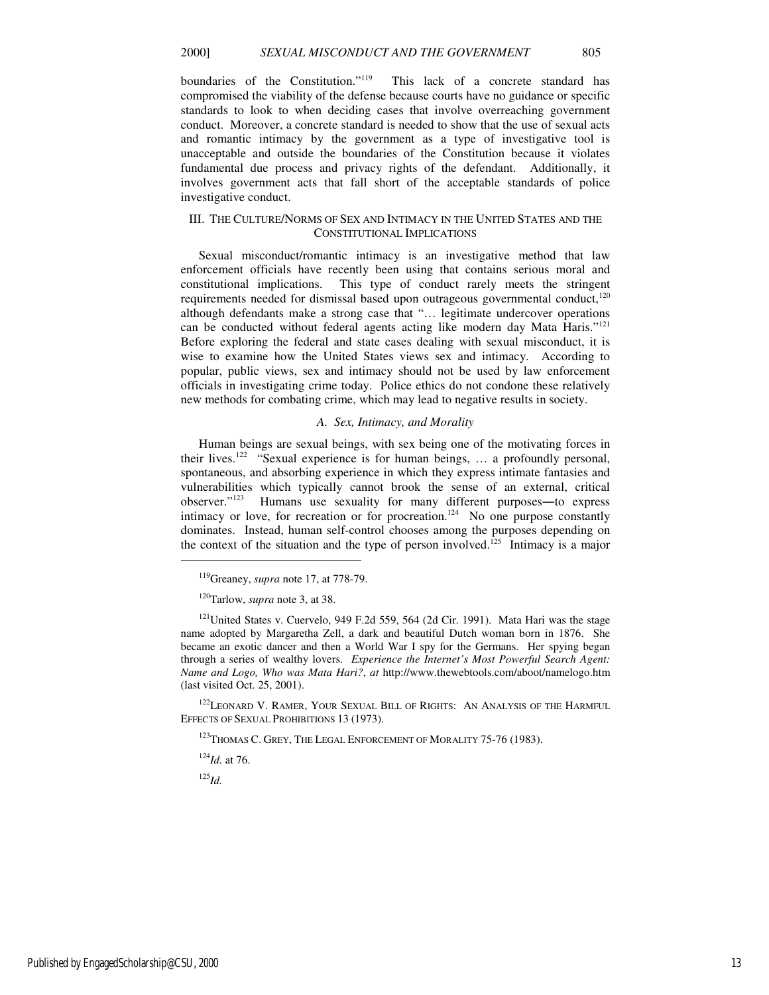boundaries of the Constitution."<sup>119</sup> This lack of a concrete standard has compromised the viability of the defense because courts have no guidance or specific standards to look to when deciding cases that involve overreaching government conduct. Moreover, a concrete standard is needed to show that the use of sexual acts and romantic intimacy by the government as a type of investigative tool is unacceptable and outside the boundaries of the Constitution because it violates fundamental due process and privacy rights of the defendant. Additionally, it involves government acts that fall short of the acceptable standards of police investigative conduct.

# III. THE CULTURE/NORMS OF SEX AND INTIMACY IN THE UNITED STATES AND THE CONSTITUTIONAL IMPLICATIONS

Sexual misconduct/romantic intimacy is an investigative method that law enforcement officials have recently been using that contains serious moral and constitutional implications. This type of conduct rarely meets the stringent requirements needed for dismissal based upon outrageous governmental conduct,<sup>120</sup> although defendants make a strong case that "… legitimate undercover operations can be conducted without federal agents acting like modern day Mata Haris."<sup>121</sup> Before exploring the federal and state cases dealing with sexual misconduct, it is wise to examine how the United States views sex and intimacy. According to popular, public views, sex and intimacy should not be used by law enforcement officials in investigating crime today. Police ethics do not condone these relatively new methods for combating crime, which may lead to negative results in society.

# *A. Sex, Intimacy, and Morality*

Human beings are sexual beings, with sex being one of the motivating forces in their lives.<sup>122</sup> "Sexual experience is for human beings, … a profoundly personal, spontaneous, and absorbing experience in which they express intimate fantasies and vulnerabilities which typically cannot brook the sense of an external, critical observer."<sup>123</sup> Humans use sexuality for many different purposes―to express intimacy or love, for recreation or for procreation.<sup>124</sup> No one purpose constantly dominates. Instead, human self-control chooses among the purposes depending on the context of the situation and the type of person involved.<sup>125</sup> Intimacy is a major

<sup>122</sup>LEONARD V. RAMER, YOUR SEXUAL BILL OF RIGHTS: AN ANALYSIS OF THE HARMFUL EFFECTS OF SEXUAL PROHIBITIONS 13 (1973).

<sup>123</sup>THOMAS C. GREY, THE LEGAL ENFORCEMENT OF MORALITY 75-76 (1983).

<sup>124</sup>*Id.* at 76.

<sup>125</sup>*Id.*

1

<sup>119</sup>Greaney, *supra* note 17, at 778-79.

<sup>120</sup>Tarlow, *supra* note 3, at 38.

 $121$ United States v. Cuervelo, 949 F.2d 559, 564 (2d Cir. 1991). Mata Hari was the stage name adopted by Margaretha Zell, a dark and beautiful Dutch woman born in 1876. She became an exotic dancer and then a World War I spy for the Germans. Her spying began through a series of wealthy lovers. *Experience the Internet's Most Powerful Search Agent: Name and Logo, Who was Mata Hari?*, *at* http://www.thewebtools.com/aboot/namelogo.htm (last visited Oct. 25, 2001).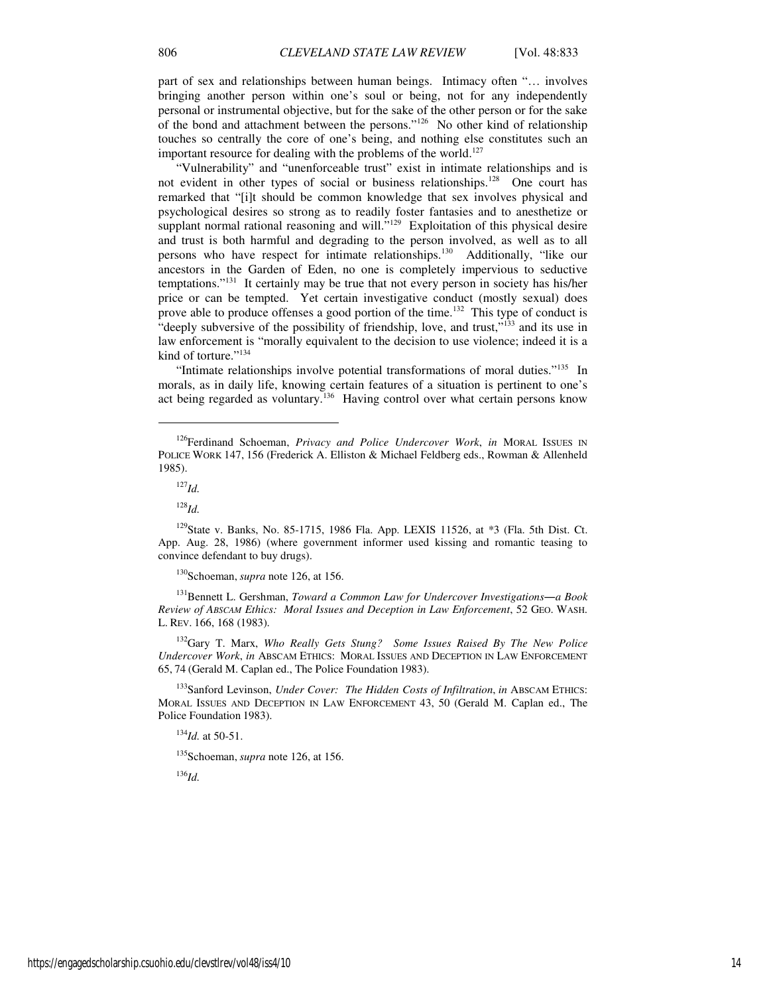part of sex and relationships between human beings. Intimacy often "… involves bringing another person within one's soul or being, not for any independently personal or instrumental objective, but for the sake of the other person or for the sake of the bond and attachment between the persons."<sup>126</sup> No other kind of relationship touches so centrally the core of one's being, and nothing else constitutes such an important resource for dealing with the problems of the world.<sup>127</sup>

"Vulnerability" and "unenforceable trust" exist in intimate relationships and is not evident in other types of social or business relationships.<sup>128</sup> One court has remarked that "[i]t should be common knowledge that sex involves physical and psychological desires so strong as to readily foster fantasies and to anesthetize or supplant normal rational reasoning and will."<sup>129</sup> Exploitation of this physical desire and trust is both harmful and degrading to the person involved, as well as to all persons who have respect for intimate relationships.<sup>130</sup> Additionally, "like our ancestors in the Garden of Eden, no one is completely impervious to seductive temptations."<sup>131</sup> It certainly may be true that not every person in society has his/her price or can be tempted. Yet certain investigative conduct (mostly sexual) does prove able to produce offenses a good portion of the time.<sup>132</sup> This type of conduct is "deeply subversive of the possibility of friendship, love, and trust," $133$  and its use in law enforcement is "morally equivalent to the decision to use violence; indeed it is a kind of torture."<sup>134</sup>

"Intimate relationships involve potential transformations of moral duties."<sup>135</sup> In morals, as in daily life, knowing certain features of a situation is pertinent to one's act being regarded as voluntary.<sup>136</sup> Having control over what certain persons know

<sup>127</sup>*Id.*

1

<sup>128</sup>*Id.*

<sup>130</sup>Schoeman, *supra* note 126, at 156.

<sup>131</sup>Bennett L. Gershman, *Toward a Common Law for Undercover Investigations*―*a Book Review of ABSCAM Ethics: Moral Issues and Deception in Law Enforcement*, 52 GEO. WASH. L. REV. 166, 168 (1983).

<sup>132</sup>Gary T. Marx, *Who Really Gets Stung? Some Issues Raised By The New Police Undercover Work*, *in* ABSCAM ETHICS: MORAL ISSUES AND DECEPTION IN LAW ENFORCEMENT 65, 74 (Gerald M. Caplan ed., The Police Foundation 1983).

<sup>133</sup>Sanford Levinson, *Under Cover: The Hidden Costs of Infiltration*, *in* ABSCAM ETHICS: MORAL ISSUES AND DECEPTION IN LAW ENFORCEMENT 43, 50 (Gerald M. Caplan ed., The Police Foundation 1983).

<sup>134</sup>*Id.* at 50-51.

<sup>135</sup>Schoeman, *supra* note 126, at 156.

<sup>136</sup>*Id.*

<sup>126</sup>Ferdinand Schoeman, *Privacy and Police Undercover Work*, *in* MORAL ISSUES IN POLICE WORK 147, 156 (Frederick A. Elliston & Michael Feldberg eds., Rowman & Allenheld 1985).

<sup>129</sup>State v. Banks, No. 85-1715, 1986 Fla. App. LEXIS 11526, at \*3 (Fla. 5th Dist. Ct. App. Aug. 28, 1986) (where government informer used kissing and romantic teasing to convince defendant to buy drugs).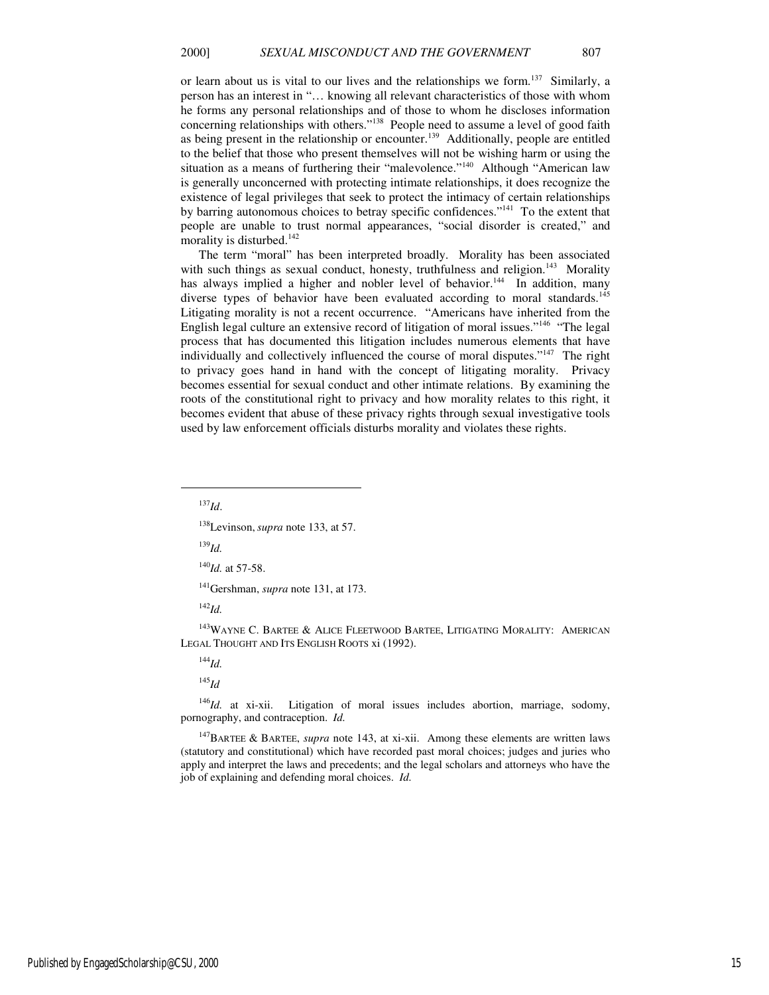or learn about us is vital to our lives and the relationships we form.<sup>137</sup> Similarly, a person has an interest in "… knowing all relevant characteristics of those with whom he forms any personal relationships and of those to whom he discloses information concerning relationships with others."<sup>138</sup> People need to assume a level of good faith as being present in the relationship or encounter.<sup>139</sup> Additionally, people are entitled to the belief that those who present themselves will not be wishing harm or using the situation as a means of furthering their "malevolence."<sup>140</sup> Although "American law is generally unconcerned with protecting intimate relationships, it does recognize the existence of legal privileges that seek to protect the intimacy of certain relationships by barring autonomous choices to betray specific confidences."<sup>141</sup> To the extent that people are unable to trust normal appearances, "social disorder is created," and morality is disturbed.<sup>142</sup>

The term "moral" has been interpreted broadly. Morality has been associated with such things as sexual conduct, honesty, truthfulness and religion.<sup>143</sup> Morality has always implied a higher and nobler level of behavior.<sup>144</sup> In addition, many diverse types of behavior have been evaluated according to moral standards.<sup>145</sup> Litigating morality is not a recent occurrence. "Americans have inherited from the English legal culture an extensive record of litigation of moral issues."<sup>146</sup> "The legal process that has documented this litigation includes numerous elements that have individually and collectively influenced the course of moral disputes."<sup>147</sup> The right to privacy goes hand in hand with the concept of litigating morality. Privacy becomes essential for sexual conduct and other intimate relations. By examining the roots of the constitutional right to privacy and how morality relates to this right, it becomes evident that abuse of these privacy rights through sexual investigative tools used by law enforcement officials disturbs morality and violates these rights.

<sup>137</sup>*Id*.

1

<sup>138</sup>Levinson,*supra* note 133, at 57.

<sup>139</sup>*Id.*

<sup>140</sup>*Id.* at 57-58.

<sup>141</sup>Gershman, *supra* note 131, at 173.

<sup>142</sup>*Id.*

<sup>143</sup>WAYNE C. BARTEE & ALICE FLEETWOOD BARTEE, LITIGATING MORALITY: AMERICAN LEGAL THOUGHT AND ITS ENGLISH ROOTS xi (1992).

<sup>144</sup>*Id.*

<sup>145</sup>*Id*

<sup>146</sup>*Id.* at xi-xii. Litigation of moral issues includes abortion, marriage, sodomy, pornography, and contraception. *Id.*

<sup>147</sup>BARTEE & BARTEE, *supra* note 143, at xi-xii. Among these elements are written laws (statutory and constitutional) which have recorded past moral choices; judges and juries who apply and interpret the laws and precedents; and the legal scholars and attorneys who have the job of explaining and defending moral choices. *Id.*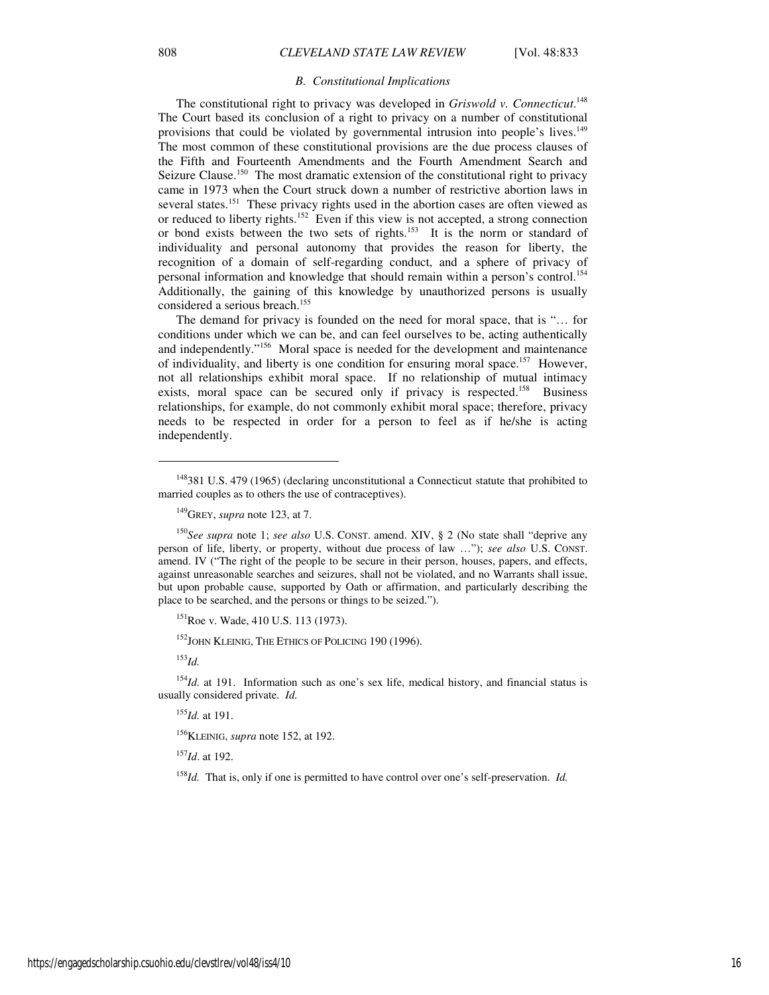#### *B. Constitutional Implications*

The constitutional right to privacy was developed in *Griswold v. Connecticut*. 148 The Court based its conclusion of a right to privacy on a number of constitutional provisions that could be violated by governmental intrusion into people's lives.<sup>149</sup> The most common of these constitutional provisions are the due process clauses of the Fifth and Fourteenth Amendments and the Fourth Amendment Search and Seizure Clause.<sup>150</sup> The most dramatic extension of the constitutional right to privacy came in 1973 when the Court struck down a number of restrictive abortion laws in several states.<sup>151</sup> These privacy rights used in the abortion cases are often viewed as or reduced to liberty rights.<sup>152</sup> Even if this view is not accepted, a strong connection or bond exists between the two sets of rights.<sup>153</sup> It is the norm or standard of individuality and personal autonomy that provides the reason for liberty, the recognition of a domain of self-regarding conduct, and a sphere of privacy of personal information and knowledge that should remain within a person's control.<sup>154</sup> Additionally, the gaining of this knowledge by unauthorized persons is usually considered a serious breach.<sup>155</sup>

The demand for privacy is founded on the need for moral space, that is "… for conditions under which we can be, and can feel ourselves to be, acting authentically and independently."<sup>156</sup> Moral space is needed for the development and maintenance of individuality, and liberty is one condition for ensuring moral space.<sup>157</sup> However, not all relationships exhibit moral space. If no relationship of mutual intimacy exists, moral space can be secured only if privacy is respected.<sup>158</sup> Business relationships, for example, do not commonly exhibit moral space; therefore, privacy needs to be respected in order for a person to feel as if he/she is acting independently.

<sup>150</sup>*See supra* note 1; *see also* U.S. CONST. amend. XIV, § 2 (No state shall "deprive any person of life, liberty, or property, without due process of law …"); *see also* U.S. CONST. amend. IV ("The right of the people to be secure in their person, houses, papers, and effects, against unreasonable searches and seizures, shall not be violated, and no Warrants shall issue, but upon probable cause, supported by Oath or affirmation, and particularly describing the place to be searched, and the persons or things to be seized.").

<sup>151</sup>Roe v. Wade, 410 U.S. 113 (1973).

<sup>152</sup>JOHN KLEINIG, THE ETHICS OF POLICING 190 (1996).

<sup>153</sup>*Id.*

 $\overline{a}$ 

 $154$ *Id.* at 191. Information such as one's sex life, medical history, and financial status is usually considered private. *Id.*

<sup>155</sup>*Id.* at 191.

<sup>156</sup>KLEINIG, *supra* note 152, at 192.

<sup>157</sup>*Id*. at 192.

<sup>158</sup>*Id.* That is, only if one is permitted to have control over one's self-preservation. *Id.*

<sup>148</sup>381 U.S. 479 (1965) (declaring unconstitutional a Connecticut statute that prohibited to married couples as to others the use of contraceptives).

<sup>149</sup>GREY, *supra* note 123, at 7.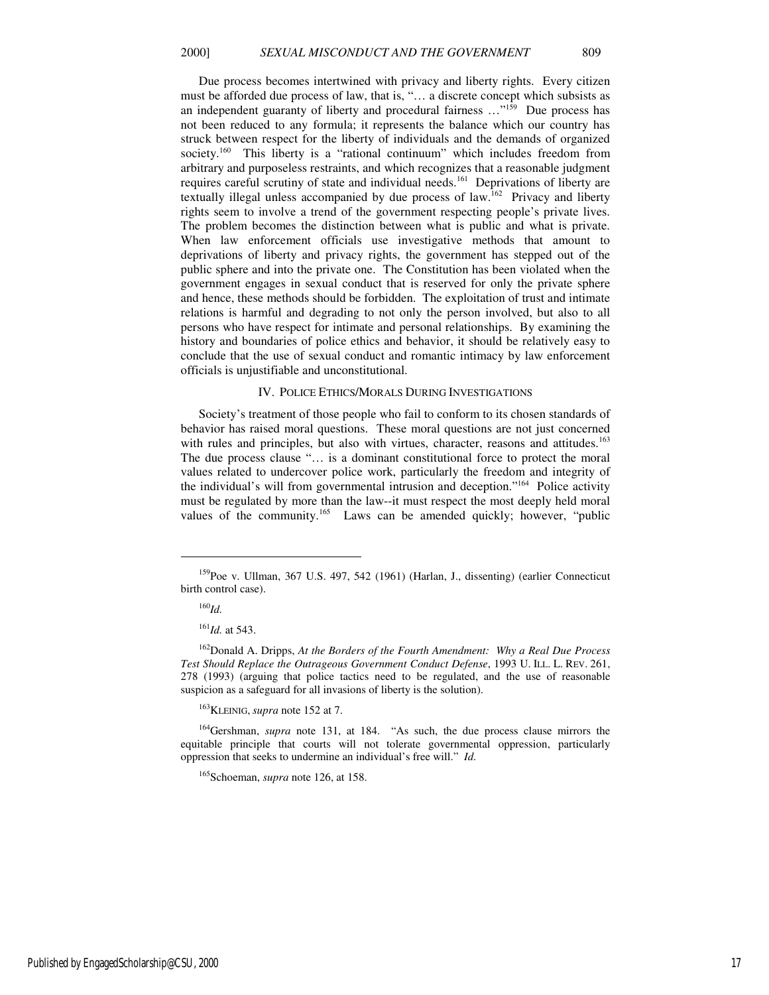Due process becomes intertwined with privacy and liberty rights. Every citizen must be afforded due process of law, that is, "… a discrete concept which subsists as an independent guaranty of liberty and procedural fairness …"<sup>159</sup> Due process has not been reduced to any formula; it represents the balance which our country has struck between respect for the liberty of individuals and the demands of organized society.<sup>160</sup> This liberty is a "rational continuum" which includes freedom from arbitrary and purposeless restraints, and which recognizes that a reasonable judgment requires careful scrutiny of state and individual needs.<sup>161</sup> Deprivations of liberty are textually illegal unless accompanied by due process of law.<sup>162</sup> Privacy and liberty rights seem to involve a trend of the government respecting people's private lives. The problem becomes the distinction between what is public and what is private. When law enforcement officials use investigative methods that amount to deprivations of liberty and privacy rights, the government has stepped out of the public sphere and into the private one. The Constitution has been violated when the government engages in sexual conduct that is reserved for only the private sphere and hence, these methods should be forbidden. The exploitation of trust and intimate relations is harmful and degrading to not only the person involved, but also to all persons who have respect for intimate and personal relationships. By examining the history and boundaries of police ethics and behavior, it should be relatively easy to conclude that the use of sexual conduct and romantic intimacy by law enforcement officials is unjustifiable and unconstitutional.

# IV. POLICE ETHICS/MORALS DURING INVESTIGATIONS

Society's treatment of those people who fail to conform to its chosen standards of behavior has raised moral questions. These moral questions are not just concerned with rules and principles, but also with virtues, character, reasons and attitudes.<sup>163</sup> The due process clause "… is a dominant constitutional force to protect the moral values related to undercover police work, particularly the freedom and integrity of the individual's will from governmental intrusion and deception."<sup>164</sup> Police activity must be regulated by more than the law--it must respect the most deeply held moral values of the community.<sup>165</sup> Laws can be amended quickly; however, "public

j

<sup>163</sup>KLEINIG, *supra* note 152 at 7.

<sup>164</sup>Gershman, *supra* note 131, at 184. "As such, the due process clause mirrors the equitable principle that courts will not tolerate governmental oppression, particularly oppression that seeks to undermine an individual's free will." *Id.*

<sup>165</sup>Schoeman, *supra* note 126, at 158.

Published by EngagedScholarship@CSU, 2000 17 17

<sup>159</sup>Poe v. Ullman, 367 U.S. 497, 542 (1961) (Harlan, J., dissenting) (earlier Connecticut birth control case).

<sup>160</sup>*Id.*

<sup>161</sup>*Id.* at 543.

<sup>162</sup>Donald A. Dripps, *At the Borders of the Fourth Amendment: Why a Real Due Process Test Should Replace the Outrageous Government Conduct Defense*, 1993 U. ILL. L. REV. 261, 278 (1993) (arguing that police tactics need to be regulated, and the use of reasonable suspicion as a safeguard for all invasions of liberty is the solution).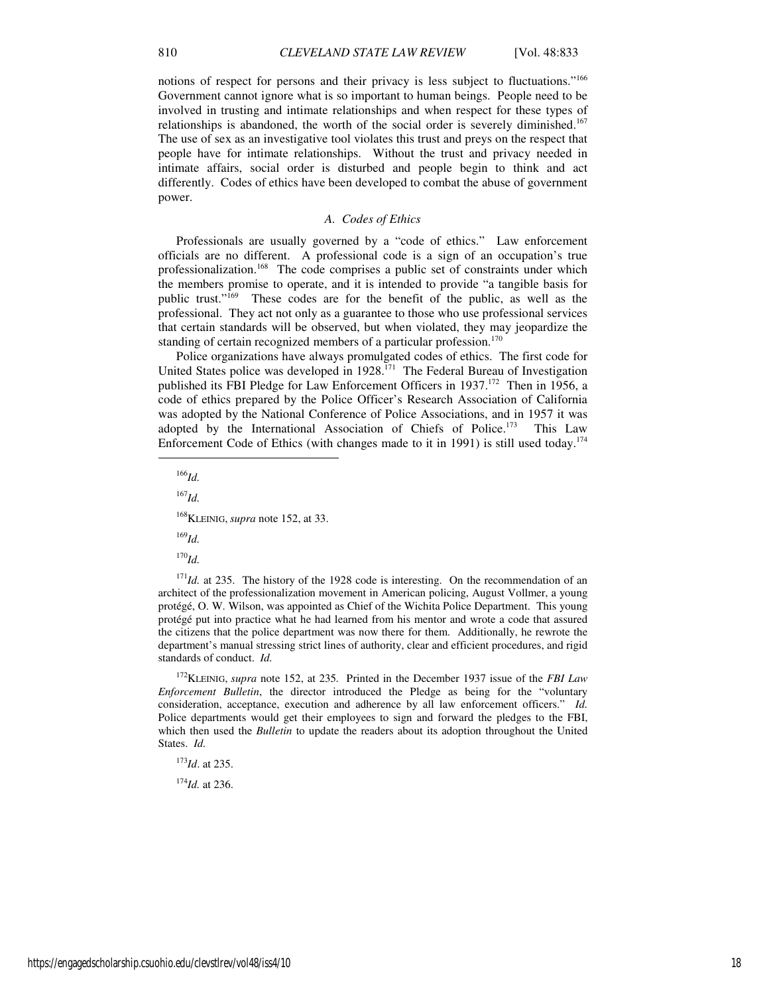notions of respect for persons and their privacy is less subject to fluctuations."<sup>166</sup> Government cannot ignore what is so important to human beings. People need to be involved in trusting and intimate relationships and when respect for these types of relationships is abandoned, the worth of the social order is severely diminished.<sup>167</sup> The use of sex as an investigative tool violates this trust and preys on the respect that people have for intimate relationships. Without the trust and privacy needed in intimate affairs, social order is disturbed and people begin to think and act differently. Codes of ethics have been developed to combat the abuse of government power.

# *A. Codes of Ethics*

Professionals are usually governed by a "code of ethics." Law enforcement officials are no different. A professional code is a sign of an occupation's true professionalization.<sup>168</sup> The code comprises a public set of constraints under which the members promise to operate, and it is intended to provide "a tangible basis for public trust."<sup>169</sup> These codes are for the benefit of the public, as well as the professional. They act not only as a guarantee to those who use professional services that certain standards will be observed, but when violated, they may jeopardize the standing of certain recognized members of a particular profession.<sup>170</sup>

Police organizations have always promulgated codes of ethics. The first code for United States police was developed in 1928.<sup>171</sup> The Federal Bureau of Investigation published its FBI Pledge for Law Enforcement Officers in 1937.<sup>172</sup> Then in 1956, a code of ethics prepared by the Police Officer's Research Association of California was adopted by the National Conference of Police Associations, and in 1957 it was adopted by the International Association of Chiefs of Police.<sup>173</sup> This Law Enforcement Code of Ethics (with changes made to it in 1991) is still used today.<sup>174</sup>

<sup>166</sup>*Id.*

1

<sup>167</sup>*Id.* <sup>168</sup>KLEINIG, *supra* note 152, at 33. <sup>169</sup>*Id.* <sup>170</sup>*Id.*

<sup>171</sup>Id. at 235. The history of the 1928 code is interesting. On the recommendation of an architect of the professionalization movement in American policing, August Vollmer, a young protégé, O. W. Wilson, was appointed as Chief of the Wichita Police Department. This young protégé put into practice what he had learned from his mentor and wrote a code that assured the citizens that the police department was now there for them. Additionally, he rewrote the department's manual stressing strict lines of authority, clear and efficient procedures, and rigid standards of conduct. *Id.*

<sup>172</sup>KLEINIG, *supra* note 152, at 235*.* Printed in the December 1937 issue of the *FBI Law Enforcement Bulletin*, the director introduced the Pledge as being for the "voluntary consideration, acceptance, execution and adherence by all law enforcement officers." *Id.*  Police departments would get their employees to sign and forward the pledges to the FBI, which then used the *Bulletin* to update the readers about its adoption throughout the United States. *Id.*

<sup>173</sup>*Id*. at 235.

<sup>174</sup>*Id.* at 236.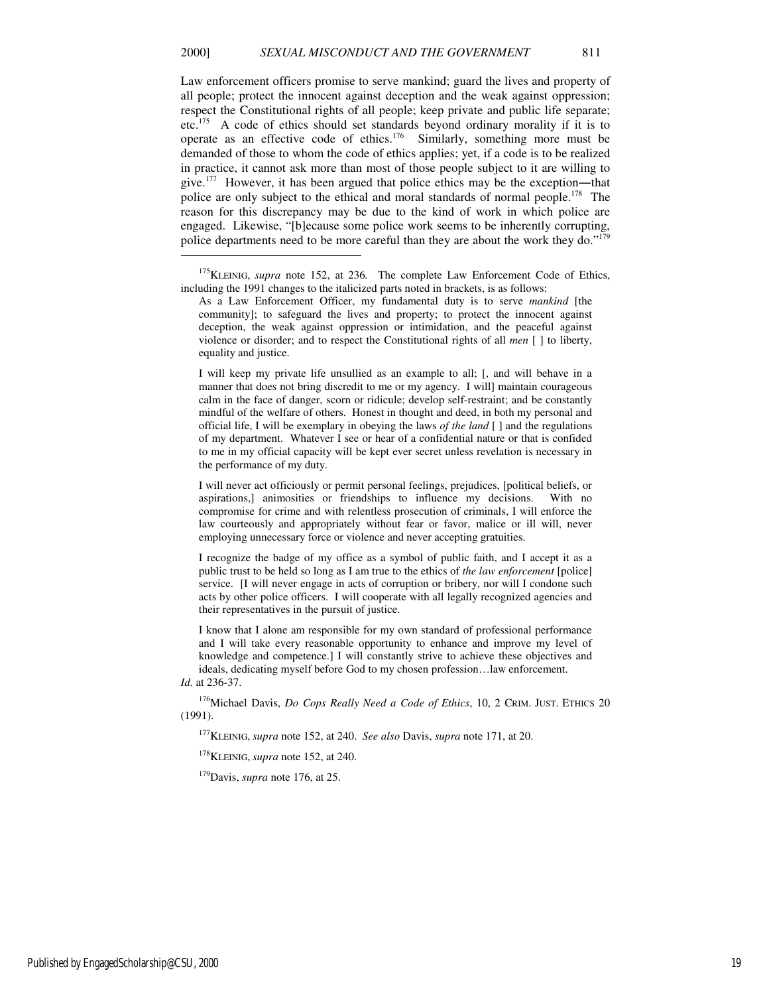#### 2000] *SEXUAL MISCONDUCT AND THE GOVERNMENT* 811

Law enforcement officers promise to serve mankind; guard the lives and property of all people; protect the innocent against deception and the weak against oppression; respect the Constitutional rights of all people; keep private and public life separate; etc.<sup>175</sup> A code of ethics should set standards beyond ordinary morality if it is to operate as an effective code of ethics.<sup>176</sup> Similarly, something more must be demanded of those to whom the code of ethics applies; yet, if a code is to be realized in practice, it cannot ask more than most of those people subject to it are willing to give.<sup>177</sup> However, it has been argued that police ethics may be the exception—that police are only subject to the ethical and moral standards of normal people.<sup>178</sup> The reason for this discrepancy may be due to the kind of work in which police are engaged. Likewise, "[b]ecause some police work seems to be inherently corrupting, police departments need to be more careful than they are about the work they do."<sup>179</sup>

<sup>175</sup>KLEINIG, *supra* note 152, at 236*.* The complete Law Enforcement Code of Ethics, including the 1991 changes to the italicized parts noted in brackets, is as follows:

I will keep my private life unsullied as an example to all; [, and will behave in a manner that does not bring discredit to me or my agency. I will] maintain courageous calm in the face of danger, scorn or ridicule; develop self-restraint; and be constantly mindful of the welfare of others. Honest in thought and deed, in both my personal and official life, I will be exemplary in obeying the laws *of the land* [ ] and the regulations of my department. Whatever I see or hear of a confidential nature or that is confided to me in my official capacity will be kept ever secret unless revelation is necessary in the performance of my duty.

I will never act officiously or permit personal feelings, prejudices, [political beliefs, or aspirations,] animosities or friendships to influence my decisions. With no compromise for crime and with relentless prosecution of criminals, I will enforce the law courteously and appropriately without fear or favor, malice or ill will, never employing unnecessary force or violence and never accepting gratuities.

I recognize the badge of my office as a symbol of public faith, and I accept it as a public trust to be held so long as I am true to the ethics of *the law enforcement* [police] service. [I will never engage in acts of corruption or bribery, nor will I condone such acts by other police officers. I will cooperate with all legally recognized agencies and their representatives in the pursuit of justice.

I know that I alone am responsible for my own standard of professional performance and I will take every reasonable opportunity to enhance and improve my level of knowledge and competence.] I will constantly strive to achieve these objectives and ideals, dedicating myself before God to my chosen profession…law enforcement.

 $\overline{a}$ 

<sup>176</sup>Michael Davis, *Do Cops Really Need a Code of Ethics*, 10, 2 CRIM. JUST. ETHICS 20 (1991).

<sup>177</sup>KLEINIG, *supra* note 152, at 240. *See also* Davis, *supra* note 171, at 20.

<sup>178</sup>KLEINIG, *supra* note 152, at 240.

<sup>179</sup>Davis, *supra* note 176, at 25.

As a Law Enforcement Officer, my fundamental duty is to serve *mankind* [the community]; to safeguard the lives and property; to protect the innocent against deception, the weak against oppression or intimidation, and the peaceful against violence or disorder; and to respect the Constitutional rights of all *men* [ ] to liberty, equality and justice.

*Id.* at 236-37.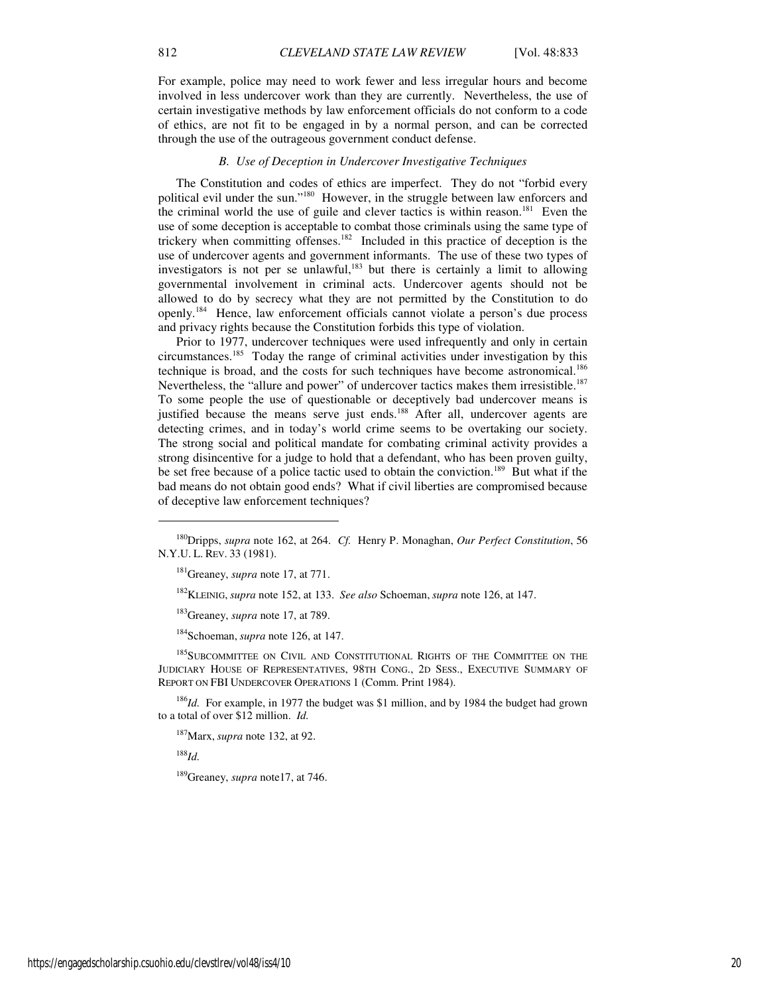For example, police may need to work fewer and less irregular hours and become involved in less undercover work than they are currently. Nevertheless, the use of certain investigative methods by law enforcement officials do not conform to a code of ethics, are not fit to be engaged in by a normal person, and can be corrected through the use of the outrageous government conduct defense.

#### *B. Use of Deception in Undercover Investigative Techniques*

The Constitution and codes of ethics are imperfect. They do not "forbid every political evil under the sun."<sup>180</sup> However, in the struggle between law enforcers and the criminal world the use of guile and clever tactics is within reason.<sup>181</sup> Even the use of some deception is acceptable to combat those criminals using the same type of trickery when committing offenses.<sup>182</sup> Included in this practice of deception is the use of undercover agents and government informants. The use of these two types of investigators is not per se unlawful, $183$  but there is certainly a limit to allowing governmental involvement in criminal acts. Undercover agents should not be allowed to do by secrecy what they are not permitted by the Constitution to do openly.<sup>184</sup> Hence, law enforcement officials cannot violate a person's due process and privacy rights because the Constitution forbids this type of violation.

Prior to 1977, undercover techniques were used infrequently and only in certain circumstances.<sup>185</sup> Today the range of criminal activities under investigation by this technique is broad, and the costs for such techniques have become astronomical.<sup>186</sup> Nevertheless, the "allure and power" of undercover tactics makes them irresistible.<sup>187</sup> To some people the use of questionable or deceptively bad undercover means is justified because the means serve just ends.<sup>188</sup> After all, undercover agents are detecting crimes, and in today's world crime seems to be overtaking our society. The strong social and political mandate for combating criminal activity provides a strong disincentive for a judge to hold that a defendant, who has been proven guilty, be set free because of a police tactic used to obtain the conviction.<sup>189</sup> But what if the bad means do not obtain good ends? What if civil liberties are compromised because of deceptive law enforcement techniques?

<sup>182</sup>KLEINIG, *supra* note 152, at 133. *See also* Schoeman, *supra* note 126, at 147.

<sup>183</sup>Greaney, *supra* note 17, at 789.

<sup>184</sup>Schoeman, *supra* note 126, at 147.

185SUBCOMMITTEE ON CIVIL AND CONSTITUTIONAL RIGHTS OF THE COMMITTEE ON THE JUDICIARY HOUSE OF REPRESENTATIVES, 98TH CONG., 2D SESS., EXECUTIVE SUMMARY OF REPORT ON FBI UNDERCOVER OPERATIONS 1 (Comm. Print 1984).

<sup>186</sup>*Id.* For example, in 1977 the budget was \$1 million, and by 1984 the budget had grown to a total of over \$12 million. *Id.*

<sup>187</sup>Marx, *supra* note 132, at 92.

<sup>188</sup>*Id.*

1

<sup>189</sup>Greaney, *supra* note17, at 746.

<sup>180</sup>Dripps, *supra* note 162, at 264. *Cf.* Henry P. Monaghan, *Our Perfect Constitution*, 56 N.Y.U. L. REV. 33 (1981).

<sup>181</sup>Greaney, *supra* note 17, at 771.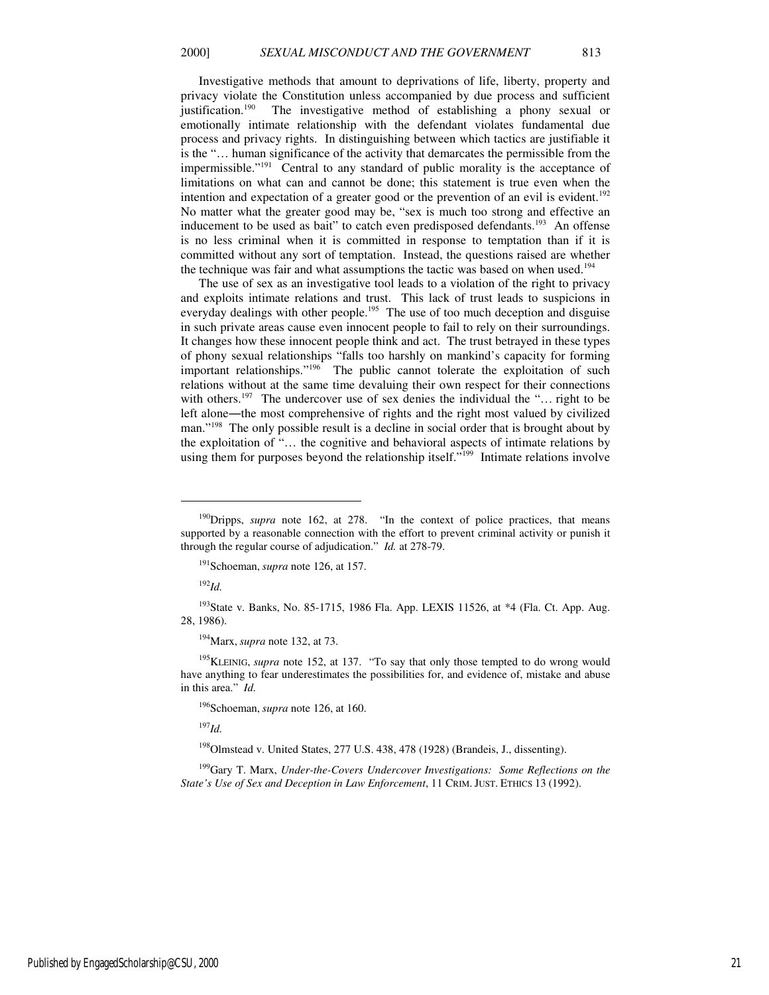Investigative methods that amount to deprivations of life, liberty, property and privacy violate the Constitution unless accompanied by due process and sufficient justification.<sup>190</sup> The investigative method of establishing a phony sexual or The investigative method of establishing a phony sexual or emotionally intimate relationship with the defendant violates fundamental due process and privacy rights. In distinguishing between which tactics are justifiable it is the "… human significance of the activity that demarcates the permissible from the impermissible."<sup>191</sup> Central to any standard of public morality is the acceptance of limitations on what can and cannot be done; this statement is true even when the intention and expectation of a greater good or the prevention of an evil is evident.<sup>192</sup> No matter what the greater good may be, "sex is much too strong and effective an inducement to be used as bait" to catch even predisposed defendants.<sup>193</sup> An offense is no less criminal when it is committed in response to temptation than if it is committed without any sort of temptation. Instead, the questions raised are whether the technique was fair and what assumptions the tactic was based on when used.<sup>194</sup>

The use of sex as an investigative tool leads to a violation of the right to privacy and exploits intimate relations and trust. This lack of trust leads to suspicions in everyday dealings with other people.<sup>195</sup> The use of too much deception and disguise in such private areas cause even innocent people to fail to rely on their surroundings. It changes how these innocent people think and act. The trust betrayed in these types of phony sexual relationships "falls too harshly on mankind's capacity for forming important relationships."<sup>196</sup> The public cannot tolerate the exploitation of such relations without at the same time devaluing their own respect for their connections with others.<sup>197</sup> The undercover use of sex denies the individual the "... right to be left alone--the most comprehensive of rights and the right most valued by civilized man."<sup>198</sup> The only possible result is a decline in social order that is brought about by the exploitation of "… the cognitive and behavioral aspects of intimate relations by using them for purposes beyond the relationship itself."<sup>199</sup> Intimate relations involve

j

<sup>194</sup>Marx, *supra* note 132, at 73.

<sup>195</sup>KLEINIG, *supra* note 152, at 137. "To say that only those tempted to do wrong would have anything to fear underestimates the possibilities for, and evidence of, mistake and abuse in this area." *Id.*

<sup>196</sup>Schoeman, *supra* note 126, at 160.

<sup>197</sup>*Id.*

<sup>198</sup>Olmstead v. United States, 277 U.S. 438, 478 (1928) (Brandeis, J., dissenting).

<sup>199</sup>Gary T. Marx, *Under-the-Covers Undercover Investigations: Some Reflections on the State's Use of Sex and Deception in Law Enforcement*, 11 CRIM.JUST. ETHICS 13 (1992).

Published by EngagedScholarship@CSU, 2000 21

<sup>&</sup>lt;sup>190</sup>Dripps, *supra* note 162, at 278. "In the context of police practices, that means supported by a reasonable connection with the effort to prevent criminal activity or punish it through the regular course of adjudication." *Id.* at 278-79.

<sup>191</sup>Schoeman, *supra* note 126, at 157.

<sup>192</sup>*Id.*

 $193$ State v. Banks, No. 85-1715, 1986 Fla. App. LEXIS 11526, at  $*4$  (Fla. Ct. App. Aug. 28, 1986).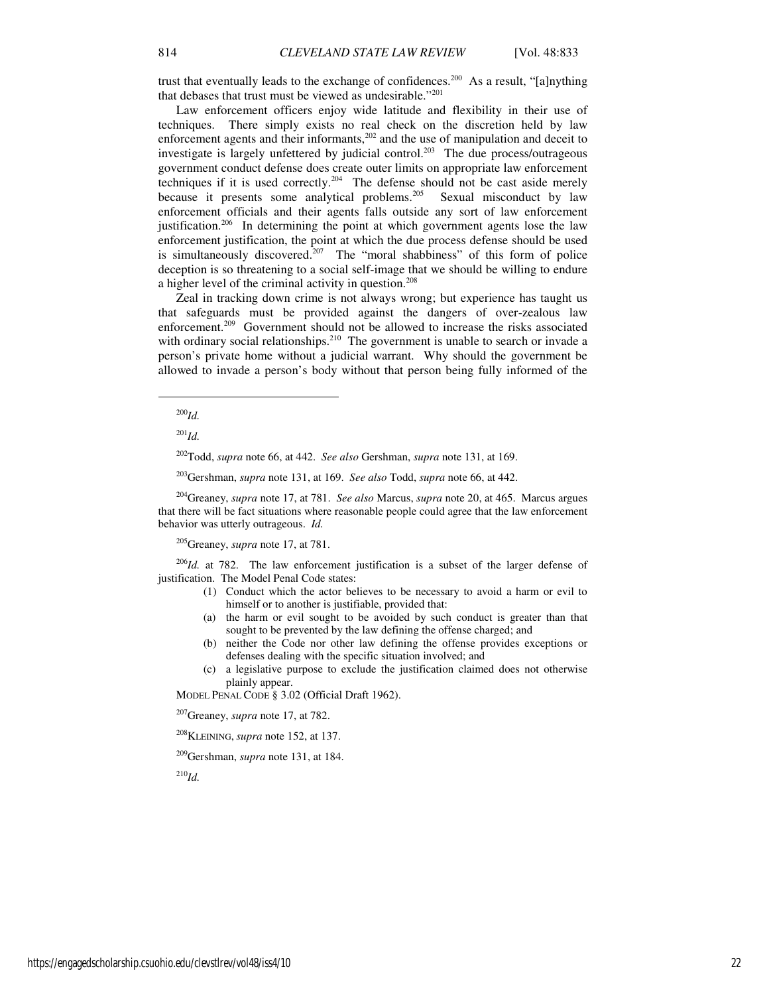trust that eventually leads to the exchange of confidences.<sup>200</sup> As a result, "[a]nything that debases that trust must be viewed as undesirable."<sup>201</sup>

Law enforcement officers enjoy wide latitude and flexibility in their use of techniques. There simply exists no real check on the discretion held by law enforcement agents and their informants, $2^{02}$  and the use of manipulation and deceit to investigate is largely unfettered by judicial control.<sup>203</sup> The due process/outrageous government conduct defense does create outer limits on appropriate law enforcement techniques if it is used correctly.<sup>204</sup> The defense should not be cast aside merely because it presents some analytical problems.<sup>205</sup> Sexual misconduct by law enforcement officials and their agents falls outside any sort of law enforcement justification.<sup>206</sup> In determining the point at which government agents lose the law enforcement justification, the point at which the due process defense should be used is simultaneously discovered.<sup>207</sup> The "moral shabbiness" of this form of police deception is so threatening to a social self-image that we should be willing to endure a higher level of the criminal activity in question.<sup>208</sup>

Zeal in tracking down crime is not always wrong; but experience has taught us that safeguards must be provided against the dangers of over-zealous law enforcement.<sup>209</sup> Government should not be allowed to increase the risks associated with ordinary social relationships.<sup>210</sup> The government is unable to search or invade a person's private home without a judicial warrant. Why should the government be allowed to invade a person's body without that person being fully informed of the

<sup>200</sup>*Id.*

1

<sup>201</sup>*Id.*

<sup>202</sup>Todd, *supra* note 66, at 442. *See also* Gershman, *supra* note 131, at 169.

<sup>203</sup>Gershman, *supra* note 131, at 169. *See also* Todd, *supra* note 66, at 442.

<sup>204</sup>Greaney, *supra* note 17, at 781. *See also* Marcus, *supra* note 20, at 465. Marcus argues that there will be fact situations where reasonable people could agree that the law enforcement behavior was utterly outrageous. *Id.*

<sup>205</sup>Greaney, *supra* note 17, at 781.

<sup>206</sup>*Id.* at 782. The law enforcement justification is a subset of the larger defense of justification. The Model Penal Code states:

- (1) Conduct which the actor believes to be necessary to avoid a harm or evil to himself or to another is justifiable, provided that:
- (a) the harm or evil sought to be avoided by such conduct is greater than that sought to be prevented by the law defining the offense charged; and
- (b) neither the Code nor other law defining the offense provides exceptions or defenses dealing with the specific situation involved; and
- (c) a legislative purpose to exclude the justification claimed does not otherwise plainly appear.

MODEL PENAL CODE § 3.02 (Official Draft 1962).

<sup>207</sup>Greaney, *supra* note 17, at 782.

<sup>208</sup>KLEINING, *supra* note 152, at 137.

<sup>209</sup>Gershman, *supra* note 131, at 184.

<sup>210</sup>*Id.*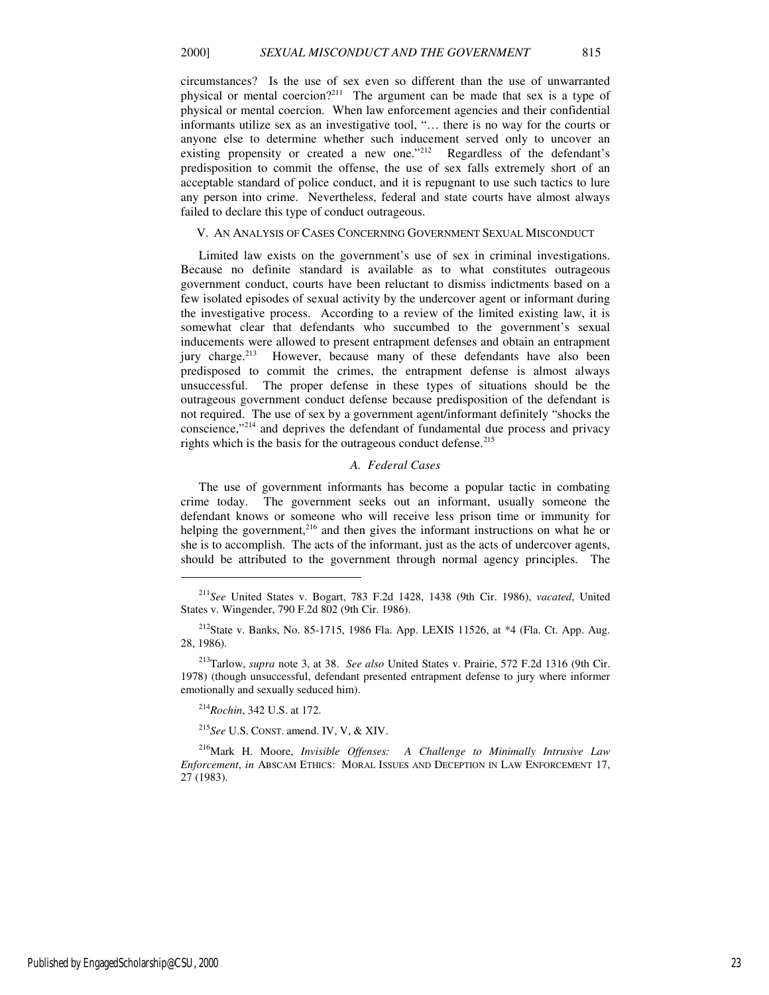circumstances? Is the use of sex even so different than the use of unwarranted physical or mental coercion?<sup>211</sup> The argument can be made that sex is a type of physical or mental coercion. When law enforcement agencies and their confidential informants utilize sex as an investigative tool, "… there is no way for the courts or anyone else to determine whether such inducement served only to uncover an existing propensity or created a new one."<sup>212</sup> Regardless of the defendant's predisposition to commit the offense, the use of sex falls extremely short of an acceptable standard of police conduct, and it is repugnant to use such tactics to lure any person into crime. Nevertheless, federal and state courts have almost always failed to declare this type of conduct outrageous.

#### V. AN ANALYSIS OF CASES CONCERNING GOVERNMENT SEXUAL MISCONDUCT

Limited law exists on the government's use of sex in criminal investigations. Because no definite standard is available as to what constitutes outrageous government conduct, courts have been reluctant to dismiss indictments based on a few isolated episodes of sexual activity by the undercover agent or informant during the investigative process. According to a review of the limited existing law, it is somewhat clear that defendants who succumbed to the government's sexual inducements were allowed to present entrapment defenses and obtain an entrapment jury charge.<sup>213</sup> However, because many of these defendants have also been predisposed to commit the crimes, the entrapment defense is almost always unsuccessful. The proper defense in these types of situations should be the outrageous government conduct defense because predisposition of the defendant is not required. The use of sex by a government agent/informant definitely "shocks the conscience,"<sup>214</sup> and deprives the defendant of fundamental due process and privacy rights which is the basis for the outrageous conduct defense.<sup>215</sup>

# *A. Federal Cases*

The use of government informants has become a popular tactic in combating crime today. The government seeks out an informant, usually someone the defendant knows or someone who will receive less prison time or immunity for helping the government, $2^{16}$  and then gives the informant instructions on what he or she is to accomplish. The acts of the informant, just as the acts of undercover agents, should be attributed to the government through normal agency principles. The

 $\overline{a}$ 

Published by EngagedScholarship@CSU, 2000 23

<sup>211</sup>*See* United States v. Bogart, 783 F.2d 1428, 1438 (9th Cir. 1986), *vacated*, United States v. Wingender, 790 F.2d 802 (9th Cir. 1986).

<sup>212</sup>State v. Banks, No. 85-1715, 1986 Fla. App. LEXIS 11526, at \*4 (Fla. Ct. App. Aug. 28, 1986).

<sup>213</sup>Tarlow, *supra* note 3, at 38. *See also* United States v. Prairie, 572 F.2d 1316 (9th Cir. 1978) (though unsuccessful, defendant presented entrapment defense to jury where informer emotionally and sexually seduced him).

<sup>214</sup>*Rochin*, 342 U.S. at 172.

<sup>215</sup>*See* U.S. CONST. amend. IV, V, & XIV.

<sup>216</sup>Mark H. Moore, *Invisible Offenses: A Challenge to Minimally Intrusive Law Enforcement*, *in* ABSCAM ETHICS: MORAL ISSUES AND DECEPTION IN LAW ENFORCEMENT 17, 27 (1983).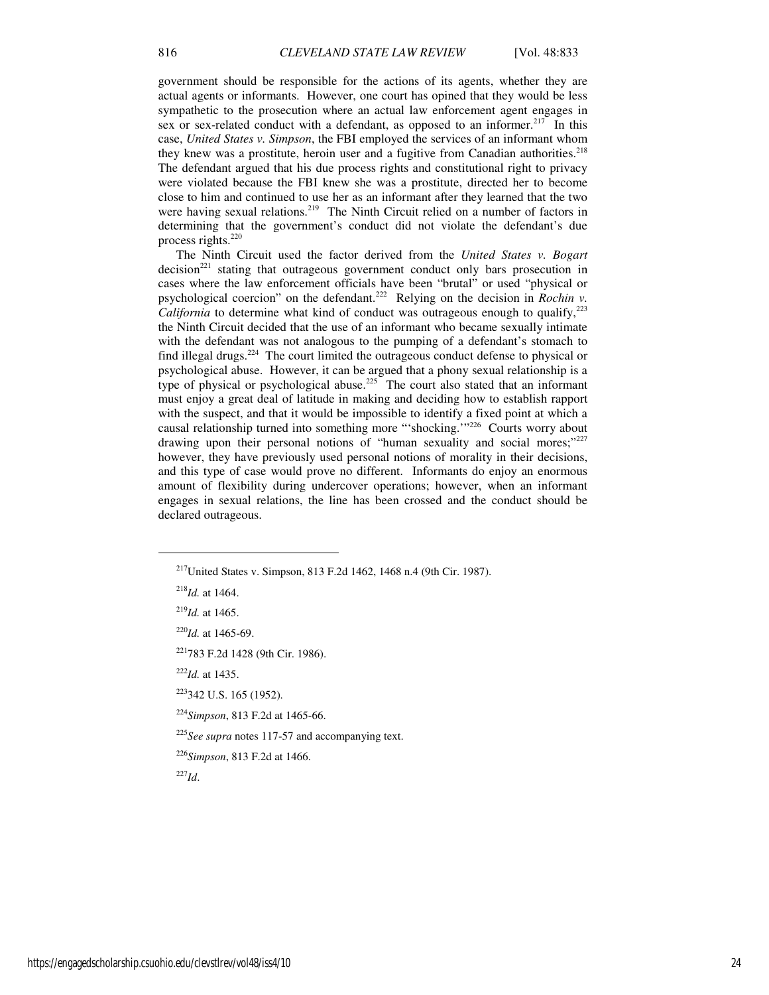government should be responsible for the actions of its agents, whether they are actual agents or informants. However, one court has opined that they would be less sympathetic to the prosecution where an actual law enforcement agent engages in sex or sex-related conduct with a defendant, as opposed to an informer.<sup>217</sup> In this case, *United States v. Simpson*, the FBI employed the services of an informant whom they knew was a prostitute, heroin user and a fugitive from Canadian authorities.<sup>218</sup> The defendant argued that his due process rights and constitutional right to privacy were violated because the FBI knew she was a prostitute, directed her to become close to him and continued to use her as an informant after they learned that the two were having sexual relations.<sup>219</sup> The Ninth Circuit relied on a number of factors in determining that the government's conduct did not violate the defendant's due process rights.<sup>220</sup>

The Ninth Circuit used the factor derived from the *United States v. Bogart* decision<sup>221</sup> stating that outrageous government conduct only bars prosecution in cases where the law enforcement officials have been "brutal" or used "physical or psychological coercion" on the defendant.<sup>222</sup> Relying on the decision in *Rochin v. California* to determine what kind of conduct was outrageous enough to qualify,  $223$ the Ninth Circuit decided that the use of an informant who became sexually intimate with the defendant was not analogous to the pumping of a defendant's stomach to find illegal drugs.<sup>224</sup> The court limited the outrageous conduct defense to physical or psychological abuse. However, it can be argued that a phony sexual relationship is a type of physical or psychological abuse.<sup>225</sup> The court also stated that an informant must enjoy a great deal of latitude in making and deciding how to establish rapport with the suspect, and that it would be impossible to identify a fixed point at which a causal relationship turned into something more "'shocking.'"<sup>226</sup> Courts worry about drawing upon their personal notions of "human sexuality and social mores;"227 however, they have previously used personal notions of morality in their decisions, and this type of case would prove no different. Informants do enjoy an enormous amount of flexibility during undercover operations; however, when an informant engages in sexual relations, the line has been crossed and the conduct should be declared outrageous.

j

 $^{220}$ *Id.* at 1465-69.

<sup>221</sup>783 F.2d 1428 (9th Cir. 1986).

<sup>222</sup>*Id.* at 1435.

 $223$ <sub>342</sub> U.S. 165 (1952).

<sup>224</sup>*Simpson*, 813 F.2d at 1465-66.

<sup>225</sup>*See supra* notes 117-57 and accompanying text.

<sup>226</sup>*Simpson*, 813 F.2d at 1466.

<sup>227</sup>*Id*.

<sup>217</sup>United States v. Simpson, 813 F.2d 1462, 1468 n.4 (9th Cir. 1987).

<sup>218</sup>*Id.* at 1464.

<sup>219</sup>*Id.* at 1465.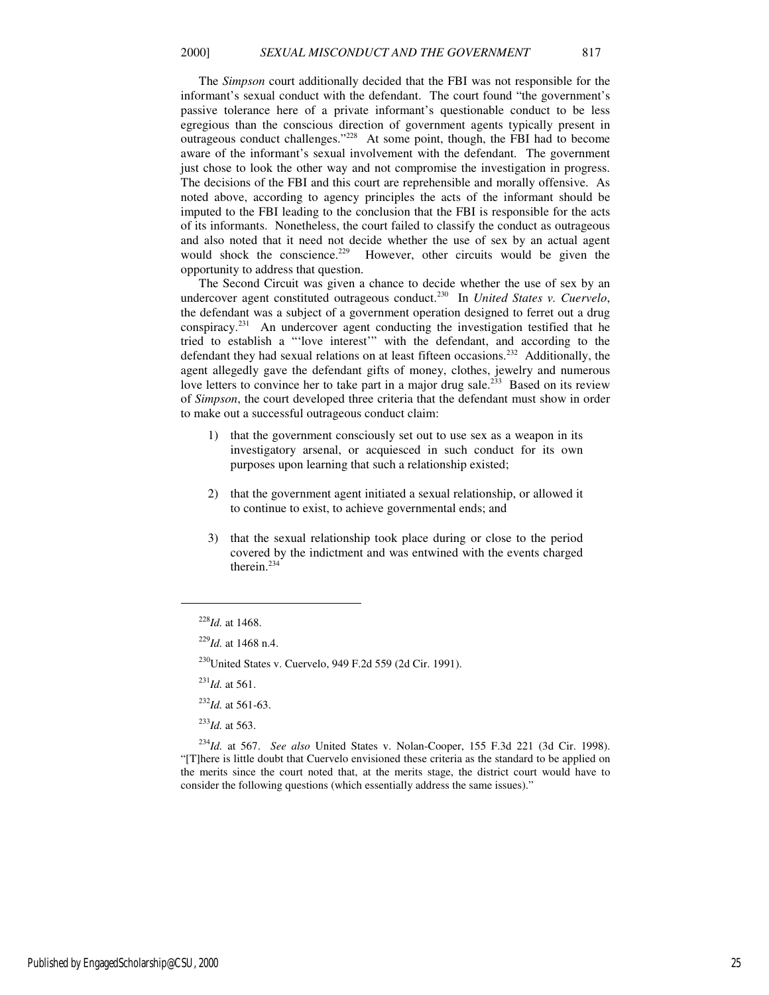The *Simpson* court additionally decided that the FBI was not responsible for the informant's sexual conduct with the defendant. The court found "the government's passive tolerance here of a private informant's questionable conduct to be less egregious than the conscious direction of government agents typically present in outrageous conduct challenges."<sup>228</sup> At some point, though, the FBI had to become aware of the informant's sexual involvement with the defendant. The government just chose to look the other way and not compromise the investigation in progress. The decisions of the FBI and this court are reprehensible and morally offensive. As noted above, according to agency principles the acts of the informant should be imputed to the FBI leading to the conclusion that the FBI is responsible for the acts of its informants. Nonetheless, the court failed to classify the conduct as outrageous and also noted that it need not decide whether the use of sex by an actual agent would shock the conscience.<sup>229</sup> However, other circuits would be given the opportunity to address that question.

The Second Circuit was given a chance to decide whether the use of sex by an undercover agent constituted outrageous conduct.<sup>230</sup> In *United States v. Cuervelo*, the defendant was a subject of a government operation designed to ferret out a drug conspiracy.<sup>231</sup> An undercover agent conducting the investigation testified that he tried to establish a "'love interest'" with the defendant, and according to the defendant they had sexual relations on at least fifteen occasions.<sup>232</sup> Additionally, the agent allegedly gave the defendant gifts of money, clothes, jewelry and numerous love letters to convince her to take part in a major drug sale.<sup>233</sup> Based on its review of *Simpson*, the court developed three criteria that the defendant must show in order to make out a successful outrageous conduct claim:

- 1) that the government consciously set out to use sex as a weapon in its investigatory arsenal, or acquiesced in such conduct for its own purposes upon learning that such a relationship existed;
- 2) that the government agent initiated a sexual relationship, or allowed it to continue to exist, to achieve governmental ends; and
- 3) that the sexual relationship took place during or close to the period covered by the indictment and was entwined with the events charged therein.<sup>234</sup>

1

<sup>230</sup>United States v. Cuervelo, 949 F.2d 559 (2d Cir. 1991).

- <sup>231</sup>*Id.* at 561.
- <sup>232</sup>*Id.* at 561-63.
- <sup>233</sup>*Id.* at 563.

<sup>234</sup>*Id.* at 567. *See also* United States v. Nolan-Cooper, 155 F.3d 221 (3d Cir. 1998). "[T]here is little doubt that Cuervelo envisioned these criteria as the standard to be applied on the merits since the court noted that, at the merits stage, the district court would have to consider the following questions (which essentially address the same issues)."

Published by EngagedScholarship@CSU, 2000 25

<sup>228</sup>*Id.* at 1468.

<sup>229</sup>*Id.* at 1468 n.4.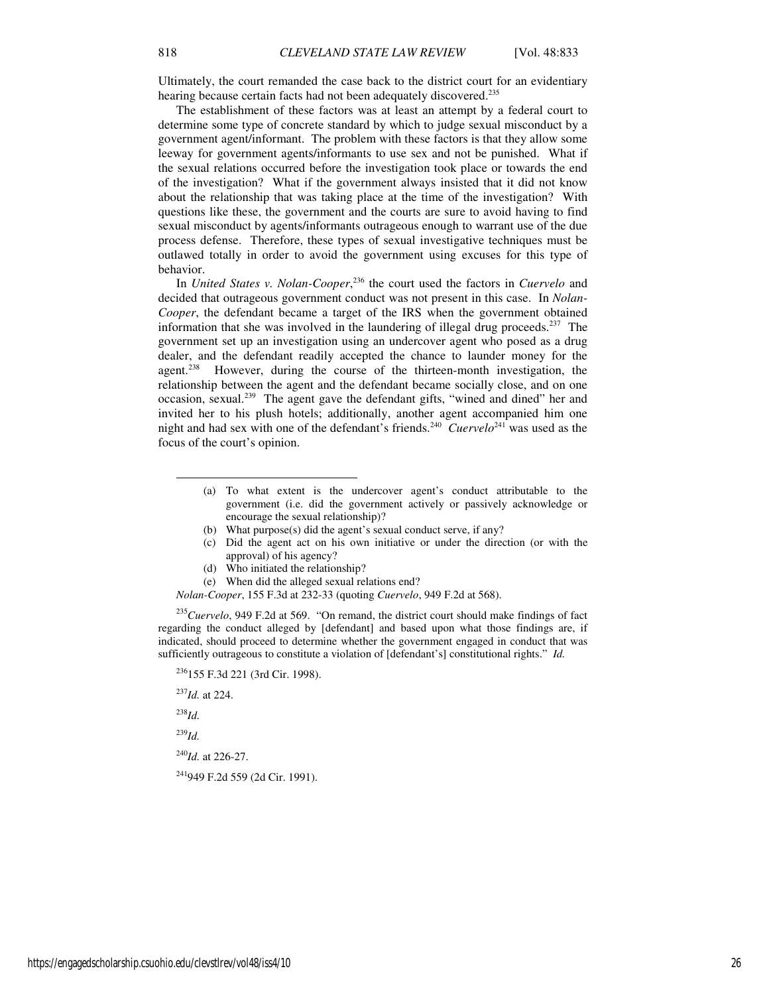Ultimately, the court remanded the case back to the district court for an evidentiary hearing because certain facts had not been adequately discovered.<sup>235</sup>

The establishment of these factors was at least an attempt by a federal court to determine some type of concrete standard by which to judge sexual misconduct by a government agent/informant. The problem with these factors is that they allow some leeway for government agents/informants to use sex and not be punished. What if the sexual relations occurred before the investigation took place or towards the end of the investigation? What if the government always insisted that it did not know about the relationship that was taking place at the time of the investigation? With questions like these, the government and the courts are sure to avoid having to find sexual misconduct by agents/informants outrageous enough to warrant use of the due process defense. Therefore, these types of sexual investigative techniques must be outlawed totally in order to avoid the government using excuses for this type of behavior.

In *United States v. Nolan-Cooper*, <sup>236</sup> the court used the factors in *Cuervelo* and decided that outrageous government conduct was not present in this case. In *Nolan-Cooper*, the defendant became a target of the IRS when the government obtained information that she was involved in the laundering of illegal drug proceeds.<sup>237</sup> The government set up an investigation using an undercover agent who posed as a drug dealer, and the defendant readily accepted the chance to launder money for the agent.<sup>238</sup> However, during the course of the thirteen-month investigation, the relationship between the agent and the defendant became socially close, and on one occasion, sexual.<sup>239</sup> The agent gave the defendant gifts, "wined and dined" her and invited her to his plush hotels; additionally, another agent accompanied him one night and had sex with one of the defendant's friends.<sup>240</sup> *Cuervelo*<sup>241</sup> was used as the focus of the court's opinion.

- (a) To what extent is the undercover agent's conduct attributable to the government (i.e. did the government actively or passively acknowledge or encourage the sexual relationship)?
- (b) What purpose(s) did the agent's sexual conduct serve, if any?
- (c) Did the agent act on his own initiative or under the direction (or with the approval) of his agency?
- (d) Who initiated the relationship?
- (e) When did the alleged sexual relations end?

*Nolan-Cooper*, 155 F.3d at 232-33 (quoting *Cuervelo*, 949 F.2d at 568).

<sup>235</sup>*Cuervelo*, 949 F.2d at 569. "On remand, the district court should make findings of fact regarding the conduct alleged by [defendant] and based upon what those findings are, if indicated, should proceed to determine whether the government engaged in conduct that was sufficiently outrageous to constitute a violation of [defendant's] constitutional rights." *Id.*

<sup>236</sup>155 F.3d 221 (3rd Cir. 1998). <sup>237</sup>*Id.* at 224. <sup>238</sup>*Id.* <sup>239</sup>*Id.* <sup>240</sup>*Id.* at 226-27.

<sup>241</sup>949 F.2d 559 (2d Cir. 1991).

-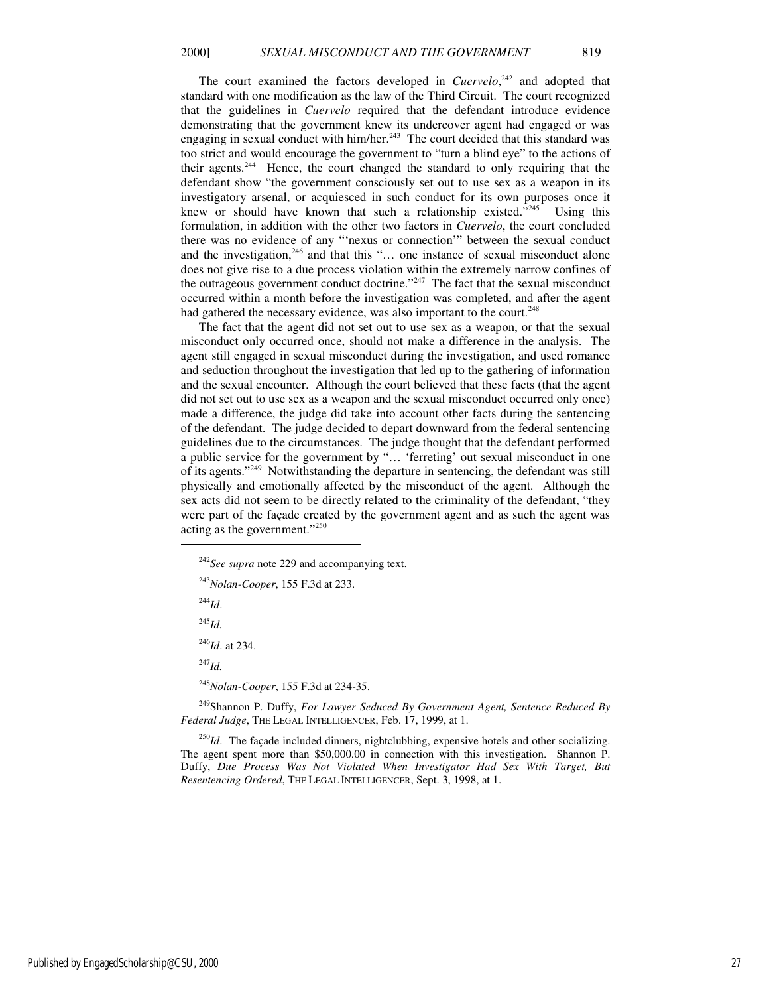The court examined the factors developed in *Cuervelo*,<sup>242</sup> and adopted that standard with one modification as the law of the Third Circuit. The court recognized that the guidelines in *Cuervelo* required that the defendant introduce evidence demonstrating that the government knew its undercover agent had engaged or was engaging in sexual conduct with him/her.<sup>243</sup> The court decided that this standard was too strict and would encourage the government to "turn a blind eye" to the actions of their agents.<sup>244</sup> Hence, the court changed the standard to only requiring that the defendant show "the government consciously set out to use sex as a weapon in its investigatory arsenal, or acquiesced in such conduct for its own purposes once it knew or should have known that such a relationship existed. $245$  Using this formulation, in addition with the other two factors in *Cuervelo*, the court concluded there was no evidence of any "'nexus or connection'" between the sexual conduct and the investigation, $246$  and that this "... one instance of sexual misconduct alone does not give rise to a due process violation within the extremely narrow confines of the outrageous government conduct doctrine."<sup>247</sup> The fact that the sexual misconduct occurred within a month before the investigation was completed, and after the agent had gathered the necessary evidence, was also important to the court.<sup>248</sup>

The fact that the agent did not set out to use sex as a weapon, or that the sexual misconduct only occurred once, should not make a difference in the analysis. The agent still engaged in sexual misconduct during the investigation, and used romance and seduction throughout the investigation that led up to the gathering of information and the sexual encounter. Although the court believed that these facts (that the agent did not set out to use sex as a weapon and the sexual misconduct occurred only once) made a difference, the judge did take into account other facts during the sentencing of the defendant. The judge decided to depart downward from the federal sentencing guidelines due to the circumstances. The judge thought that the defendant performed a public service for the government by "… 'ferreting' out sexual misconduct in one of its agents."<sup>249</sup> Notwithstanding the departure in sentencing, the defendant was still physically and emotionally affected by the misconduct of the agent. Although the sex acts did not seem to be directly related to the criminality of the defendant, "they were part of the façade created by the government agent and as such the agent was acting as the government."<sup>250</sup>

<sup>244</sup>*Id*.

 $\overline{a}$ 

<sup>245</sup>*Id.*

<sup>246</sup>*Id*. at 234.

<sup>247</sup>*Id.*

<sup>248</sup>*Nolan-Cooper*, 155 F.3d at 234-35.

<sup>249</sup>Shannon P. Duffy, *For Lawyer Seduced By Government Agent, Sentence Reduced By Federal Judge*, THE LEGAL INTELLIGENCER, Feb. 17, 1999, at 1.

<sup>250</sup>*Id*. The façade included dinners, nightclubbing, expensive hotels and other socializing. The agent spent more than \$50,000.00 in connection with this investigation. Shannon P. Duffy, *Due Process Was Not Violated When Investigator Had Sex With Target, But Resentencing Ordered*, THE LEGAL INTELLIGENCER, Sept. 3, 1998, at 1.

<sup>242</sup>*See supra* note 229 and accompanying text.

<sup>243</sup>*Nolan-Cooper*, 155 F.3d at 233.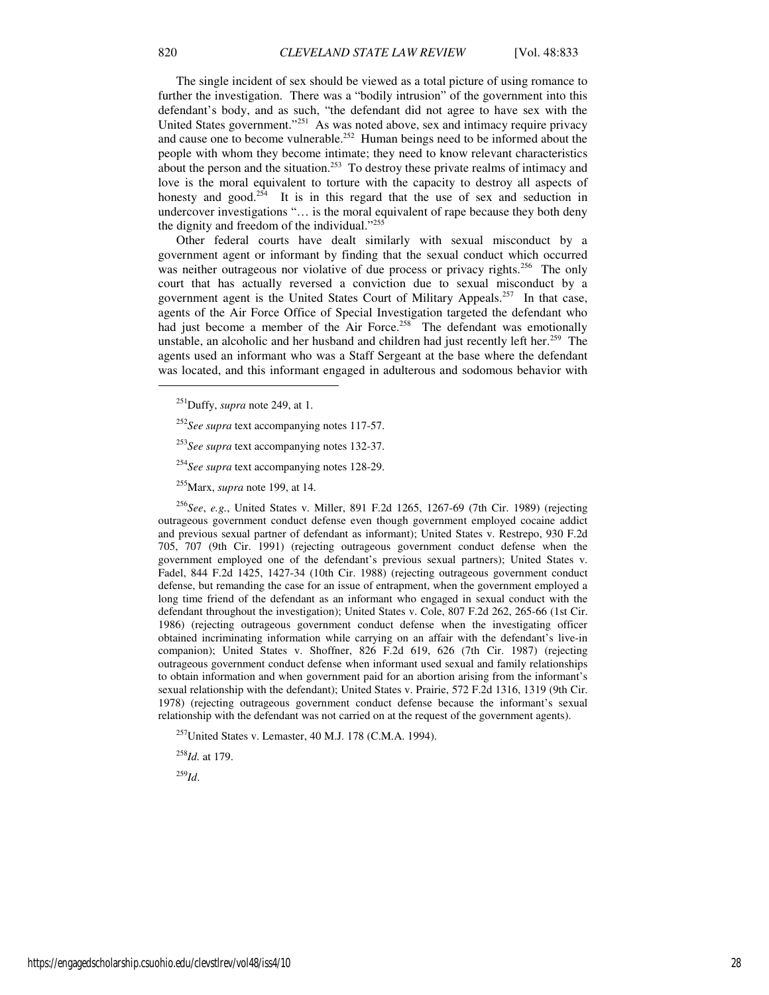The single incident of sex should be viewed as a total picture of using romance to further the investigation. There was a "bodily intrusion" of the government into this defendant's body, and as such, "the defendant did not agree to have sex with the United States government."<sup>251</sup> As was noted above, sex and intimacy require privacy and cause one to become vulnerable.<sup>252</sup> Human beings need to be informed about the people with whom they become intimate; they need to know relevant characteristics about the person and the situation.<sup>253</sup> To destroy these private realms of intimacy and love is the moral equivalent to torture with the capacity to destroy all aspects of honesty and good.<sup>254</sup> It is in this regard that the use of sex and seduction in undercover investigations "… is the moral equivalent of rape because they both deny the dignity and freedom of the individual."<sup>255</sup>

Other federal courts have dealt similarly with sexual misconduct by a government agent or informant by finding that the sexual conduct which occurred was neither outrageous nor violative of due process or privacy rights.<sup>256</sup> The only court that has actually reversed a conviction due to sexual misconduct by a government agent is the United States Court of Military Appeals.<sup>257</sup> In that case, agents of the Air Force Office of Special Investigation targeted the defendant who had just become a member of the Air Force.<sup>258</sup> The defendant was emotionally unstable, an alcoholic and her husband and children had just recently left her.<sup>259</sup> The agents used an informant who was a Staff Sergeant at the base where the defendant was located, and this informant engaged in adulterous and sodomous behavior with

<sup>256</sup>*See*, *e.g.*, United States v. Miller, 891 F.2d 1265, 1267-69 (7th Cir. 1989) (rejecting outrageous government conduct defense even though government employed cocaine addict and previous sexual partner of defendant as informant); United States v. Restrepo, 930 F.2d 705, 707 (9th Cir. 1991) (rejecting outrageous government conduct defense when the government employed one of the defendant's previous sexual partners); United States v. Fadel, 844 F.2d 1425, 1427-34 (10th Cir. 1988) (rejecting outrageous government conduct defense, but remanding the case for an issue of entrapment, when the government employed a long time friend of the defendant as an informant who engaged in sexual conduct with the defendant throughout the investigation); United States v. Cole, 807 F.2d 262, 265-66 (1st Cir. 1986) (rejecting outrageous government conduct defense when the investigating officer obtained incriminating information while carrying on an affair with the defendant's live-in companion); United States v. Shoffner, 826 F.2d 619, 626 (7th Cir. 1987) (rejecting outrageous government conduct defense when informant used sexual and family relationships to obtain information and when government paid for an abortion arising from the informant's sexual relationship with the defendant); United States v. Prairie, 572 F.2d 1316, 1319 (9th Cir. 1978) (rejecting outrageous government conduct defense because the informant's sexual relationship with the defendant was not carried on at the request of the government agents).

 $^{257}$ United States v. Lemaster, 40 M.J. 178 (C.M.A. 1994).

<sup>258</sup>*Id.* at 179.

<sup>259</sup>*Id*.

 $\overline{a}$ 

<sup>251</sup>Duffy, *supra* note 249, at 1.

<sup>252</sup>*See supra* text accompanying notes 117-57.

<sup>253</sup>*See supra* text accompanying notes 132-37.

<sup>254</sup>*See supra* text accompanying notes 128-29.

<sup>255</sup>Marx, *supra* note 199, at 14.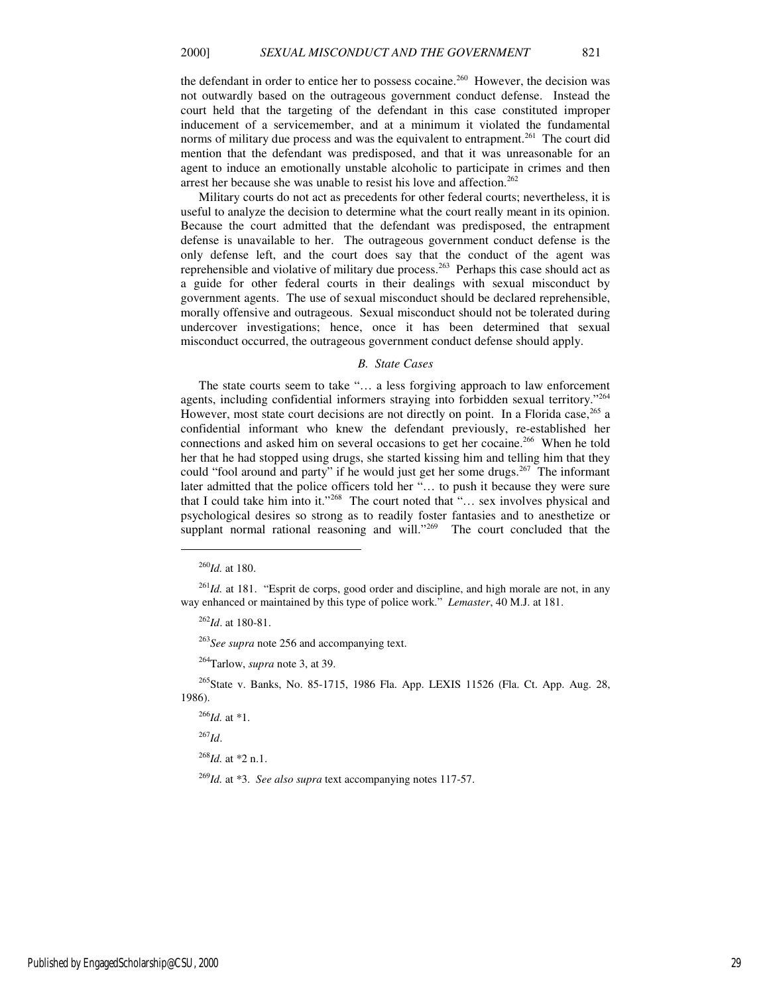the defendant in order to entice her to possess cocaine.<sup>260</sup> However, the decision was not outwardly based on the outrageous government conduct defense. Instead the court held that the targeting of the defendant in this case constituted improper inducement of a servicemember, and at a minimum it violated the fundamental norms of military due process and was the equivalent to entrapment.<sup>261</sup> The court did mention that the defendant was predisposed, and that it was unreasonable for an agent to induce an emotionally unstable alcoholic to participate in crimes and then arrest her because she was unable to resist his love and affection.<sup>262</sup>

Military courts do not act as precedents for other federal courts; nevertheless, it is useful to analyze the decision to determine what the court really meant in its opinion. Because the court admitted that the defendant was predisposed, the entrapment defense is unavailable to her. The outrageous government conduct defense is the only defense left, and the court does say that the conduct of the agent was reprehensible and violative of military due process.<sup>263</sup> Perhaps this case should act as a guide for other federal courts in their dealings with sexual misconduct by government agents. The use of sexual misconduct should be declared reprehensible, morally offensive and outrageous. Sexual misconduct should not be tolerated during undercover investigations; hence, once it has been determined that sexual misconduct occurred, the outrageous government conduct defense should apply.

#### *B. State Cases*

The state courts seem to take "… a less forgiving approach to law enforcement agents, including confidential informers straying into forbidden sexual territory."<sup>264</sup> However, most state court decisions are not directly on point. In a Florida case,  $265$  a confidential informant who knew the defendant previously, re-established her connections and asked him on several occasions to get her cocaine.<sup>266</sup> When he told her that he had stopped using drugs, she started kissing him and telling him that they could "fool around and party" if he would just get her some drugs.<sup>267</sup> The informant later admitted that the police officers told her "… to push it because they were sure that I could take him into it."<sup>268</sup> The court noted that "… sex involves physical and psychological desires so strong as to readily foster fantasies and to anesthetize or supplant normal rational reasoning and will."<sup>269</sup> The court concluded that the

1

<sup>263</sup>*See supra* note 256 and accompanying text.

<sup>264</sup>Tarlow, *supra* note 3, at 39.

<sup>265</sup>State v. Banks, No. 85-1715, 1986 Fla. App. LEXIS 11526 (Fla. Ct. App. Aug. 28, 1986).

<sup>266</sup>*Id.* at \*1.

<sup>267</sup>*Id*.

 $^{268}$ *Id.* at \*2 n.1.

<sup>269</sup>*Id.* at \*3. *See also supra* text accompanying notes 117-57.

<sup>260</sup>*Id.* at 180.

<sup>&</sup>lt;sup>261</sup>*Id.* at 181. "Esprit de corps, good order and discipline, and high morale are not, in any way enhanced or maintained by this type of police work." *Lemaster*, 40 M.J. at 181.

<sup>262</sup>*Id*. at 180-81.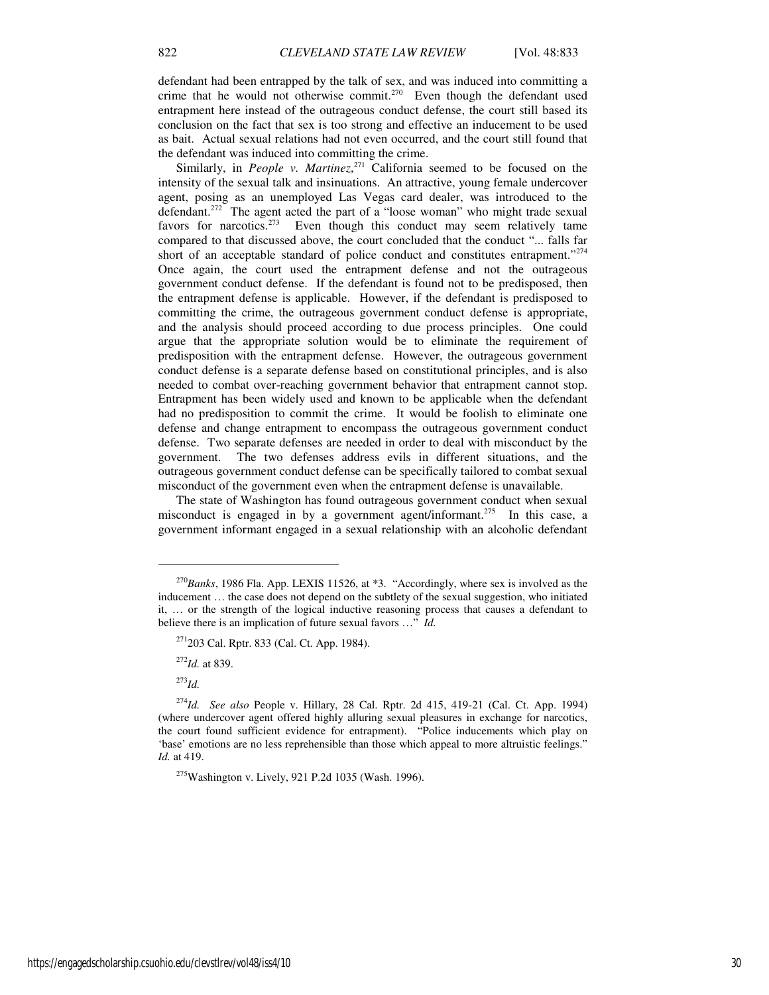defendant had been entrapped by the talk of sex, and was induced into committing a crime that he would not otherwise commit.<sup>270</sup> Even though the defendant used entrapment here instead of the outrageous conduct defense, the court still based its conclusion on the fact that sex is too strong and effective an inducement to be used as bait. Actual sexual relations had not even occurred, and the court still found that the defendant was induced into committing the crime.

Similarly, in *People v. Martinez*,<sup>271</sup> California seemed to be focused on the intensity of the sexual talk and insinuations. An attractive, young female undercover agent, posing as an unemployed Las Vegas card dealer, was introduced to the defendant.<sup>272</sup> The agent acted the part of a "loose woman" who might trade sexual favors for narcotics.<sup>273</sup> Even though this conduct may seem relatively tame compared to that discussed above, the court concluded that the conduct "... falls far short of an acceptable standard of police conduct and constitutes entrapment."<sup>274</sup> Once again, the court used the entrapment defense and not the outrageous government conduct defense. If the defendant is found not to be predisposed, then the entrapment defense is applicable. However, if the defendant is predisposed to committing the crime, the outrageous government conduct defense is appropriate, and the analysis should proceed according to due process principles. One could argue that the appropriate solution would be to eliminate the requirement of predisposition with the entrapment defense. However, the outrageous government conduct defense is a separate defense based on constitutional principles, and is also needed to combat over-reaching government behavior that entrapment cannot stop. Entrapment has been widely used and known to be applicable when the defendant had no predisposition to commit the crime. It would be foolish to eliminate one defense and change entrapment to encompass the outrageous government conduct defense. Two separate defenses are needed in order to deal with misconduct by the government. The two defenses address evils in different situations, and the outrageous government conduct defense can be specifically tailored to combat sexual misconduct of the government even when the entrapment defense is unavailable.

The state of Washington has found outrageous government conduct when sexual misconduct is engaged in by a government agent/informant.<sup>275</sup> In this case, a government informant engaged in a sexual relationship with an alcoholic defendant

<sup>272</sup>*Id.* at 839.

<sup>273</sup>*Id.*

1

<sup>270</sup>*Banks*, 1986 Fla. App. LEXIS 11526, at \*3. "Accordingly, where sex is involved as the inducement … the case does not depend on the subtlety of the sexual suggestion, who initiated it, … or the strength of the logical inductive reasoning process that causes a defendant to believe there is an implication of future sexual favors …" *Id.*

<sup>271</sup>203 Cal. Rptr. 833 (Cal. Ct. App. 1984).

<sup>274</sup>*Id. See also* People v. Hillary, 28 Cal. Rptr. 2d 415, 419-21 (Cal. Ct. App. 1994) (where undercover agent offered highly alluring sexual pleasures in exchange for narcotics, the court found sufficient evidence for entrapment). "Police inducements which play on 'base' emotions are no less reprehensible than those which appeal to more altruistic feelings." *Id.* at 419.

<sup>275</sup>Washington v. Lively, 921 P.2d 1035 (Wash. 1996).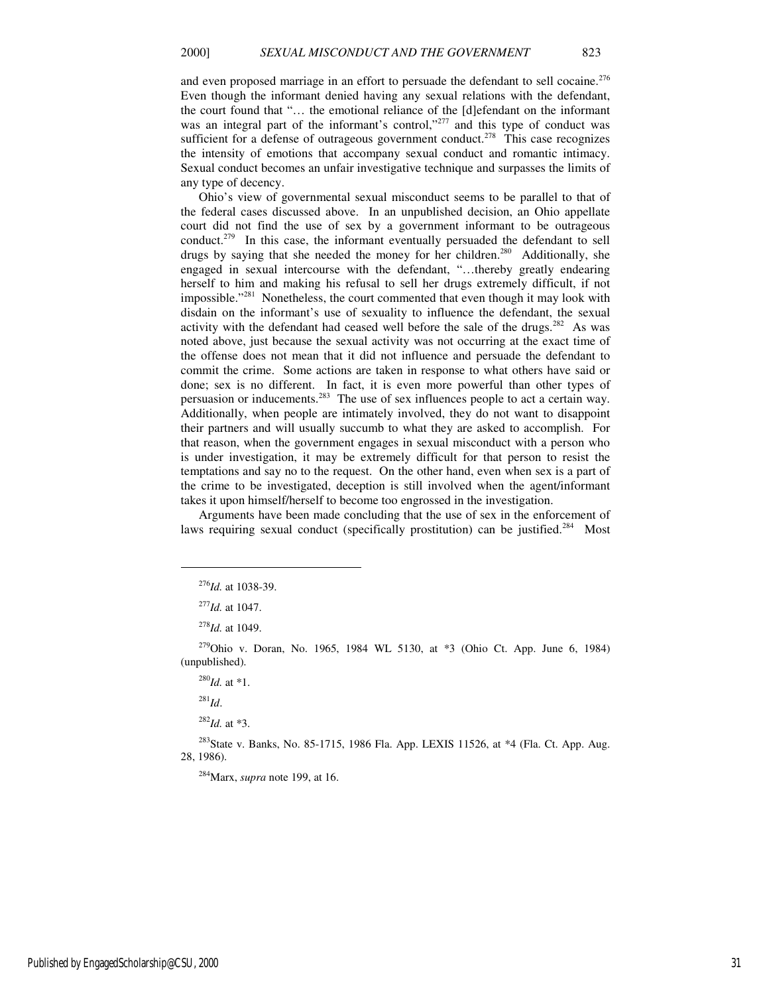and even proposed marriage in an effort to persuade the defendant to sell cocaine.<sup>276</sup> Even though the informant denied having any sexual relations with the defendant, the court found that "… the emotional reliance of the [d]efendant on the informant was an integral part of the informant's control,"<sup>277</sup> and this type of conduct was sufficient for a defense of outrageous government conduct.<sup>278</sup> This case recognizes the intensity of emotions that accompany sexual conduct and romantic intimacy. Sexual conduct becomes an unfair investigative technique and surpasses the limits of any type of decency.

Ohio's view of governmental sexual misconduct seems to be parallel to that of the federal cases discussed above. In an unpublished decision, an Ohio appellate court did not find the use of sex by a government informant to be outrageous conduct.<sup> $279$ </sup> In this case, the informant eventually persuaded the defendant to sell drugs by saying that she needed the money for her children.<sup>280</sup> Additionally, she engaged in sexual intercourse with the defendant, "…thereby greatly endearing herself to him and making his refusal to sell her drugs extremely difficult, if not impossible."<sup>281</sup> Nonetheless, the court commented that even though it may look with disdain on the informant's use of sexuality to influence the defendant, the sexual activity with the defendant had ceased well before the sale of the drugs.<sup>282</sup> As was noted above, just because the sexual activity was not occurring at the exact time of the offense does not mean that it did not influence and persuade the defendant to commit the crime. Some actions are taken in response to what others have said or done; sex is no different. In fact, it is even more powerful than other types of persuasion or inducements.<sup>283</sup> The use of sex influences people to act a certain way. Additionally, when people are intimately involved, they do not want to disappoint their partners and will usually succumb to what they are asked to accomplish. For that reason, when the government engages in sexual misconduct with a person who is under investigation, it may be extremely difficult for that person to resist the temptations and say no to the request. On the other hand, even when sex is a part of the crime to be investigated, deception is still involved when the agent/informant takes it upon himself/herself to become too engrossed in the investigation.

Arguments have been made concluding that the use of sex in the enforcement of laws requiring sexual conduct (specifically prostitution) can be justified.<sup>284</sup> Most

j

<sup>281</sup>*Id*.

<sup>282</sup>*Id.* at \*3.

<sup>283</sup>State v. Banks, No. 85-1715, 1986 Fla. App. LEXIS 11526, at \*4 (Fla. Ct. App. Aug. 28, 1986).

<sup>284</sup>Marx, *supra* note 199, at 16.

<sup>276</sup>*Id.* at 1038-39.

<sup>277</sup>*Id.* at 1047.

<sup>278</sup>*Id.* at 1049.

<sup>279</sup>Ohio v. Doran, No. 1965, 1984 WL 5130, at \*3 (Ohio Ct. App. June 6, 1984) (unpublished).

<sup>280</sup>*Id.* at \*1.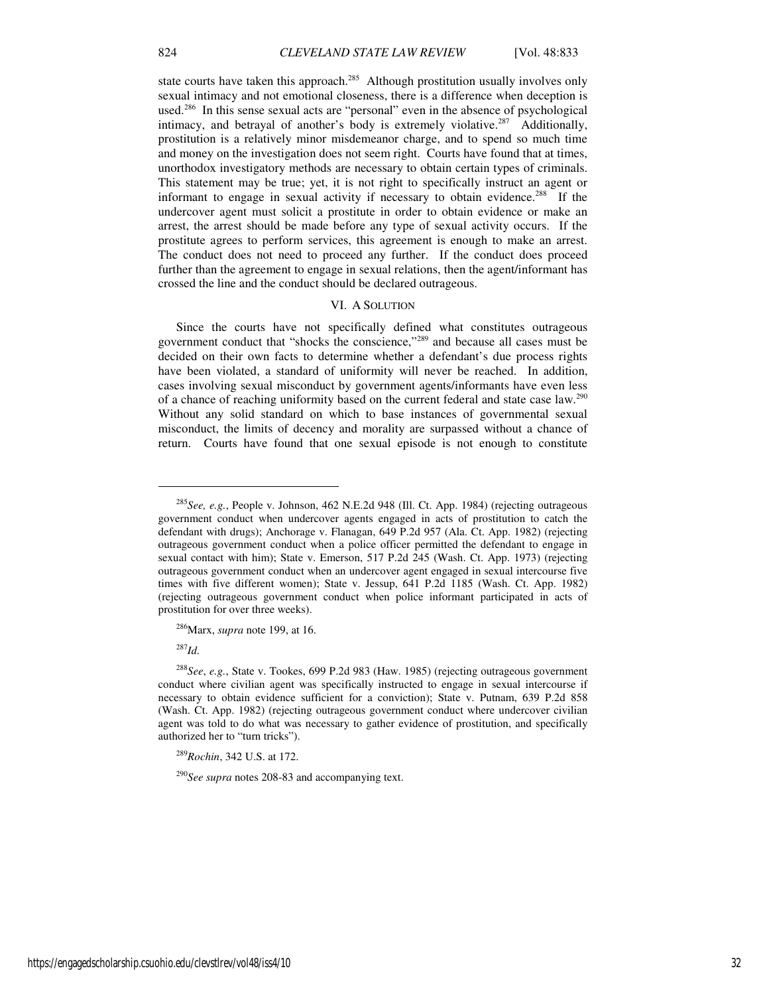state courts have taken this approach.<sup>285</sup> Although prostitution usually involves only sexual intimacy and not emotional closeness, there is a difference when deception is used.<sup>286</sup> In this sense sexual acts are "personal" even in the absence of psychological intimacy, and betrayal of another's body is extremely violative.<sup>287</sup> Additionally, prostitution is a relatively minor misdemeanor charge, and to spend so much time and money on the investigation does not seem right. Courts have found that at times, unorthodox investigatory methods are necessary to obtain certain types of criminals. This statement may be true; yet, it is not right to specifically instruct an agent or informant to engage in sexual activity if necessary to obtain evidence.<sup>288</sup> If the undercover agent must solicit a prostitute in order to obtain evidence or make an arrest, the arrest should be made before any type of sexual activity occurs. If the prostitute agrees to perform services, this agreement is enough to make an arrest. The conduct does not need to proceed any further. If the conduct does proceed further than the agreement to engage in sexual relations, then the agent/informant has crossed the line and the conduct should be declared outrageous.

# VI. A SOLUTION

Since the courts have not specifically defined what constitutes outrageous government conduct that "shocks the conscience,"<sup>289</sup> and because all cases must be decided on their own facts to determine whether a defendant's due process rights have been violated, a standard of uniformity will never be reached. In addition, cases involving sexual misconduct by government agents/informants have even less of a chance of reaching uniformity based on the current federal and state case law.<sup>290</sup> Without any solid standard on which to base instances of governmental sexual misconduct, the limits of decency and morality are surpassed without a chance of return. Courts have found that one sexual episode is not enough to constitute

<sup>287</sup>*Id.*

1

<sup>285</sup>*See, e.g.*, People v. Johnson, 462 N.E.2d 948 (Ill. Ct. App. 1984) (rejecting outrageous government conduct when undercover agents engaged in acts of prostitution to catch the defendant with drugs); Anchorage v. Flanagan, 649 P.2d 957 (Ala. Ct. App. 1982) (rejecting outrageous government conduct when a police officer permitted the defendant to engage in sexual contact with him); State v. Emerson, 517 P.2d 245 (Wash. Ct. App. 1973) (rejecting outrageous government conduct when an undercover agent engaged in sexual intercourse five times with five different women); State v. Jessup, 641 P.2d 1185 (Wash. Ct. App. 1982) (rejecting outrageous government conduct when police informant participated in acts of prostitution for over three weeks).

<sup>286</sup>Marx, *supra* note 199, at 16.

<sup>288</sup>*See*, *e.g.*, State v. Tookes, 699 P.2d 983 (Haw. 1985) (rejecting outrageous government conduct where civilian agent was specifically instructed to engage in sexual intercourse if necessary to obtain evidence sufficient for a conviction); State v. Putnam, 639 P.2d 858 (Wash. Ct. App. 1982) (rejecting outrageous government conduct where undercover civilian agent was told to do what was necessary to gather evidence of prostitution, and specifically authorized her to "turn tricks").

<sup>289</sup>*Rochin*, 342 U.S. at 172.

<sup>290</sup>*See supra* notes 208-83 and accompanying text.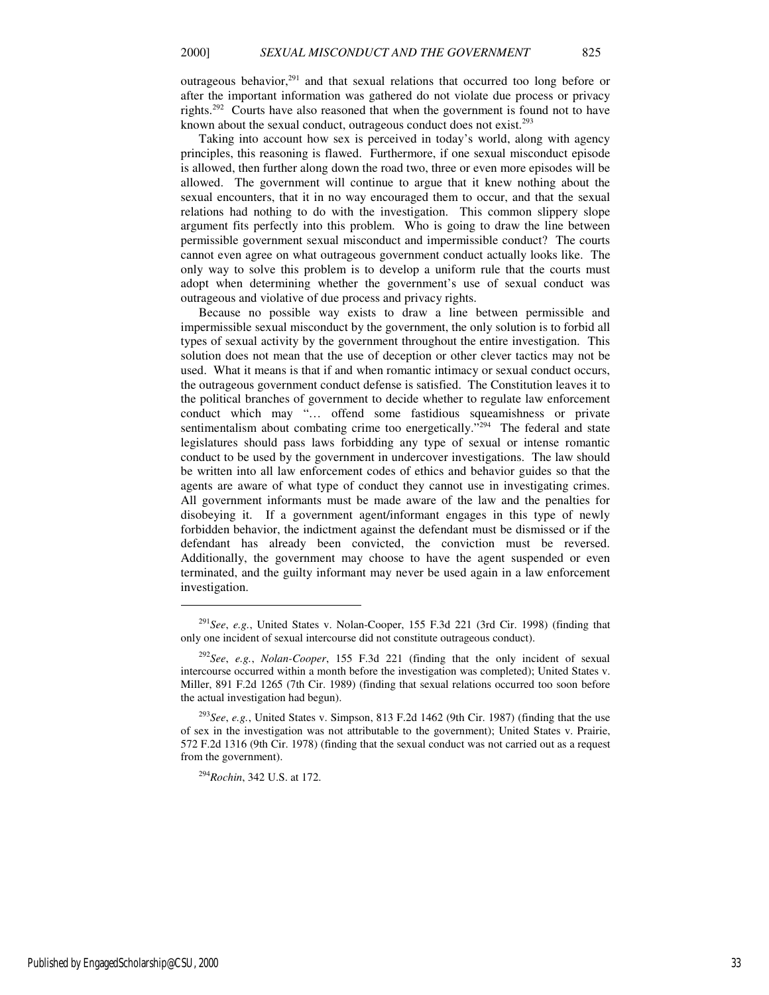outrageous behavior,<sup>291</sup> and that sexual relations that occurred too long before or after the important information was gathered do not violate due process or privacy rights.<sup>292</sup> Courts have also reasoned that when the government is found not to have known about the sexual conduct, outrageous conduct does not exist.<sup>293</sup>

Taking into account how sex is perceived in today's world, along with agency principles, this reasoning is flawed. Furthermore, if one sexual misconduct episode is allowed, then further along down the road two, three or even more episodes will be allowed. The government will continue to argue that it knew nothing about the sexual encounters, that it in no way encouraged them to occur, and that the sexual relations had nothing to do with the investigation. This common slippery slope argument fits perfectly into this problem. Who is going to draw the line between permissible government sexual misconduct and impermissible conduct? The courts cannot even agree on what outrageous government conduct actually looks like. The only way to solve this problem is to develop a uniform rule that the courts must adopt when determining whether the government's use of sexual conduct was outrageous and violative of due process and privacy rights.

Because no possible way exists to draw a line between permissible and impermissible sexual misconduct by the government, the only solution is to forbid all types of sexual activity by the government throughout the entire investigation. This solution does not mean that the use of deception or other clever tactics may not be used. What it means is that if and when romantic intimacy or sexual conduct occurs, the outrageous government conduct defense is satisfied. The Constitution leaves it to the political branches of government to decide whether to regulate law enforcement conduct which may "… offend some fastidious squeamishness or private sentimentalism about combating crime too energetically."<sup>294</sup> The federal and state legislatures should pass laws forbidding any type of sexual or intense romantic conduct to be used by the government in undercover investigations. The law should be written into all law enforcement codes of ethics and behavior guides so that the agents are aware of what type of conduct they cannot use in investigating crimes. All government informants must be made aware of the law and the penalties for disobeying it. If a government agent/informant engages in this type of newly forbidden behavior, the indictment against the defendant must be dismissed or if the defendant has already been convicted, the conviction must be reversed. Additionally, the government may choose to have the agent suspended or even terminated, and the guilty informant may never be used again in a law enforcement investigation.

1

Published by EngagedScholarship@CSU, 2000 33

<sup>291</sup>*See*, *e.g.*, United States v. Nolan-Cooper, 155 F.3d 221 (3rd Cir. 1998) (finding that only one incident of sexual intercourse did not constitute outrageous conduct).

<sup>292</sup>*See*, *e.g.*, *Nolan-Cooper*, 155 F.3d 221 (finding that the only incident of sexual intercourse occurred within a month before the investigation was completed); United States v. Miller, 891 F.2d 1265 (7th Cir. 1989) (finding that sexual relations occurred too soon before the actual investigation had begun).

<sup>293</sup>*See*, *e.g.*, United States v. Simpson, 813 F.2d 1462 (9th Cir. 1987) (finding that the use of sex in the investigation was not attributable to the government); United States v. Prairie, 572 F.2d 1316 (9th Cir. 1978) (finding that the sexual conduct was not carried out as a request from the government).

<sup>294</sup>*Rochin*, 342 U.S. at 172.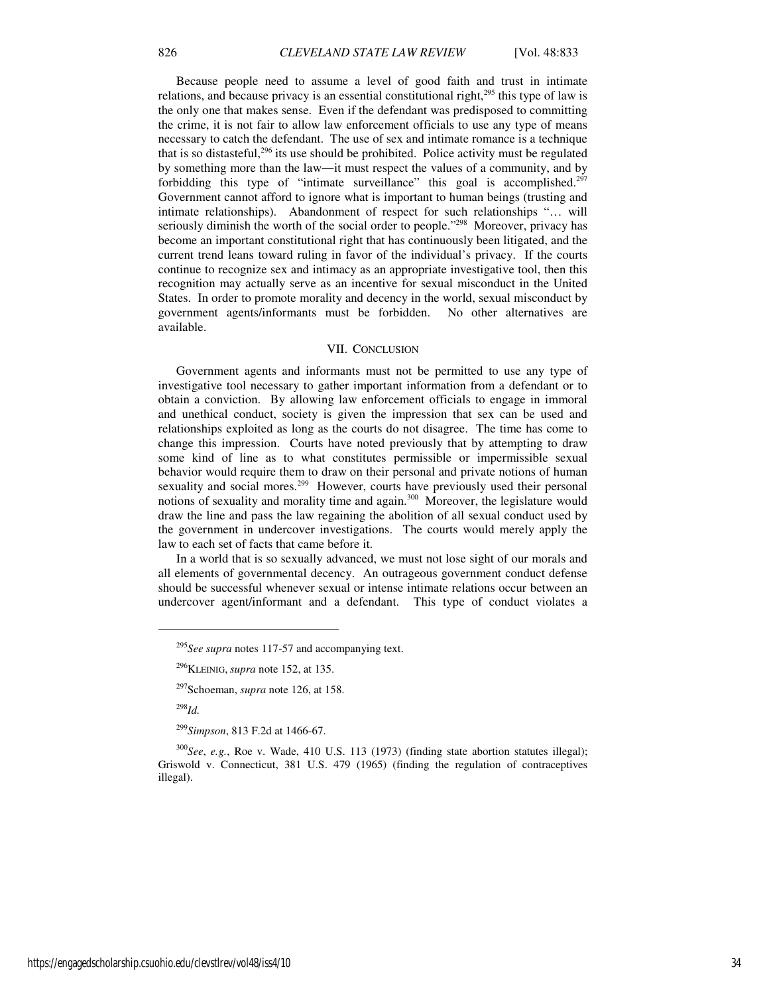Because people need to assume a level of good faith and trust in intimate relations, and because privacy is an essential constitutional right, $295$  this type of law is the only one that makes sense. Even if the defendant was predisposed to committing the crime, it is not fair to allow law enforcement officials to use any type of means necessary to catch the defendant. The use of sex and intimate romance is a technique that is so distasteful,<sup>296</sup> its use should be prohibited. Police activity must be regulated by something more than the law―it must respect the values of a community, and by forbidding this type of "intimate surveillance" this goal is accomplished.<sup>297</sup> Government cannot afford to ignore what is important to human beings (trusting and intimate relationships). Abandonment of respect for such relationships "… will seriously diminish the worth of the social order to people."<sup>298</sup> Moreover, privacy has become an important constitutional right that has continuously been litigated, and the current trend leans toward ruling in favor of the individual's privacy. If the courts continue to recognize sex and intimacy as an appropriate investigative tool, then this recognition may actually serve as an incentive for sexual misconduct in the United States. In order to promote morality and decency in the world, sexual misconduct by government agents/informants must be forbidden. No other alternatives are available.

#### VII. CONCLUSION

Government agents and informants must not be permitted to use any type of investigative tool necessary to gather important information from a defendant or to obtain a conviction. By allowing law enforcement officials to engage in immoral and unethical conduct, society is given the impression that sex can be used and relationships exploited as long as the courts do not disagree. The time has come to change this impression. Courts have noted previously that by attempting to draw some kind of line as to what constitutes permissible or impermissible sexual behavior would require them to draw on their personal and private notions of human sexuality and social mores.<sup>299</sup> However, courts have previously used their personal notions of sexuality and morality time and again.<sup>300</sup> Moreover, the legislature would draw the line and pass the law regaining the abolition of all sexual conduct used by the government in undercover investigations. The courts would merely apply the law to each set of facts that came before it.

In a world that is so sexually advanced, we must not lose sight of our morals and all elements of governmental decency. An outrageous government conduct defense should be successful whenever sexual or intense intimate relations occur between an undercover agent/informant and a defendant. This type of conduct violates a

<sup>298</sup>*Id.*

 $\overline{a}$ 

https://engagedscholarship.csuohio.edu/clevstlrev/vol48/iss4/10 34

<sup>295</sup>*See supra* notes 117-57 and accompanying text.

<sup>296</sup>KLEINIG, *supra* note 152, at 135.

<sup>297</sup>Schoeman, *supra* note 126, at 158.

<sup>299</sup>*Simpson*, 813 F.2d at 1466-67.

<sup>300</sup>*See*, *e.g.*, Roe v. Wade, 410 U.S. 113 (1973) (finding state abortion statutes illegal); Griswold v. Connecticut, 381 U.S. 479 (1965) (finding the regulation of contraceptives illegal).